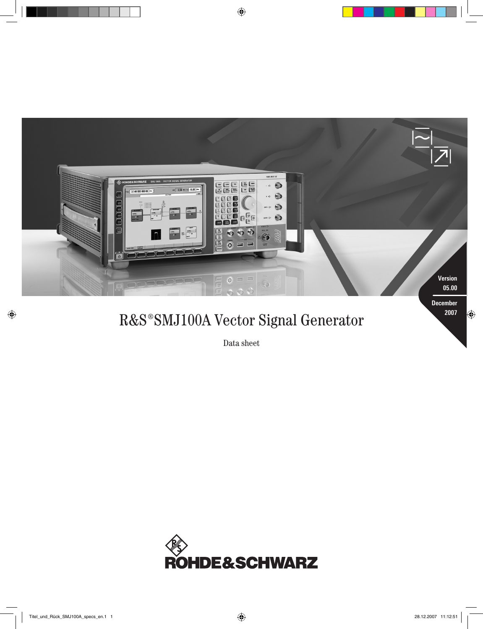

# R&S<sup>®</sup>SMJ100A Vector Signal Generator **2007**

Data sheet

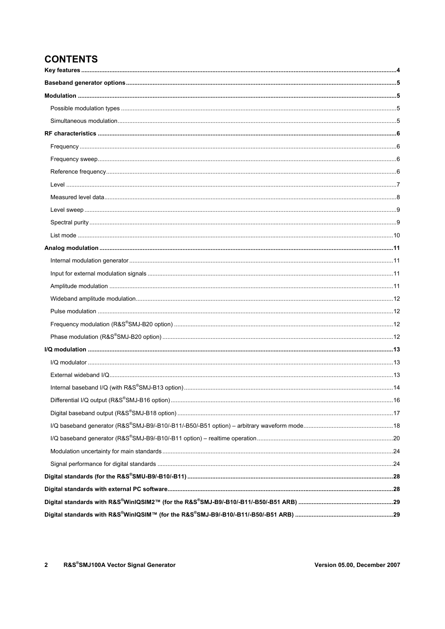# **CONTENTS**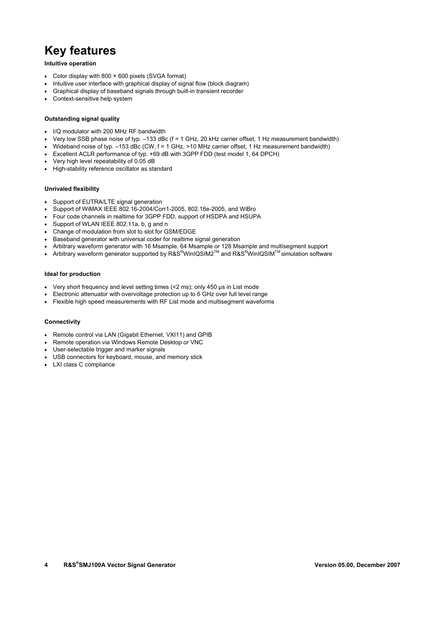# **Key features**

#### **Intuitive operation**

- Color display with 800 × 600 pixels (SVGA format)
- Intuitive user interface with graphical display of signal flow (block diagram)
- Graphical display of baseband signals through built-in transient recorder
- Context-sensitive help system

#### **Outstanding signal quality**

- I/Q modulator with 200 MHz RF bandwidth
- Very low SSB phase noise of typ. –133 dBc (f = 1 GHz, 20 kHz carrier offset, 1 Hz measurement bandwidth)
- Wideband noise of typ. –153 dBc (CW, f = 1 GHz, >10 MHz carrier offset, 1 Hz measurement bandwidth)
- Excellent ACLR performance of typ. +69 dB with 3GPP FDD (test model 1, 64 DPCH)
- Very high level repeatability of 0.05 dB
- High-stability reference oscillator as standard

#### **Unrivaled flexibility**

- Support of EUTRA/LTE signal generation
- Support of WiMAX IEEE 802.16-2004/Corr1-2005, 802.16e-2005, and WiBro
- Four code channels in realtime for 3GPP FDD, support of HSDPA and HSUPA
- Support of WLAN IEEE 802.11a, b, g and n
- Change of modulation from slot to slot for GSM/EDGE
- Baseband generator with universal coder for realtime signal generation
- Arbitrary waveform generator with 16 Msample, 64 Msample or 128 Msample and multisegment support
- Arbitrary waveform generator supported by R&S<sup>®</sup>WinIQSIM2<sup>™</sup> and R&S<sup>®</sup>WinIQSIM™ simulation software

#### **Ideal for production**

- Very short frequency and level setting times (<2 ms); only 450 µs in List mode
- Electronic attenuator with overvoltage protection up to 6 GHz over full level range
- Flexible high speed measurements with RF List mode and multisegment waveforms

#### **Connectivity**

- Remote control via LAN (Gigabit Ethernet, VXI11) and GPIB
- Remote operation via Windows Remote Desktop or VNC
- User-selectable trigger and marker signals
- USB connectors for keyboard, mouse, and memory stick
- LXI class C compliance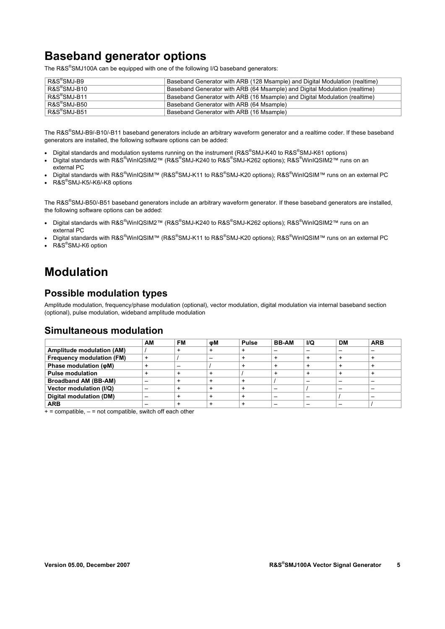# **Baseband generator options**

The R&S<sup>®</sup>SMJ100A can be equipped with one of the following I/Q baseband generators:

| R&S®SMJ-B9                   | Baseband Generator with ARB (128 Msample) and Digital Modulation (realtime) |
|------------------------------|-----------------------------------------------------------------------------|
| $R\&S^{\circledast}$ SMJ-B10 | Baseband Generator with ARB (64 Msample) and Digital Modulation (realtime)  |
| $R\&S^\circ$ SMJ-B11         | Baseband Generator with ARB (16 Msample) and Digital Modulation (realtime)  |
| R&S®SMJ-B50                  | Baseband Generator with ARB (64 Msample)                                    |
| $R\&S^\circ$ SMJ-B51         | Baseband Generator with ARB (16 Msample)                                    |

The R&S® SMJ-B9/-B10/-B11 baseband generators include an arbitrary waveform generator and a realtime coder. If these baseband generators are installed, the following software options can be added:

- Digital standards and modulation systems running on the instrument (R&S®SMJ-K40 to R&S®SMJ-K61 options)
- Digital standards with R&S<sup>®</sup>WinIQSIM2™ (R&S<sup>®</sup>SMJ-K240 to R&S<sup>®</sup>SMJ-K262 options); R&S<sup>®</sup>WinIQSIM2™ runs on an external PC
- Digital standards with R&S®WinIQSIM™ (R&S®SMJ-K11 to R&S®SMJ-K20 options); R&S®WinIQSIM™ runs on an external PC
- R&S<sup>®</sup>SMJ-K5/-K6/-K8 options

The R&S®SMJ-B50/-B51 baseband generators include an arbitrary waveform generator. If these baseband generators are installed, the following software options can be added:

- Digital standards with R&S<sup>®</sup>WinIQSIM2™ (R&S<sup>®</sup>SMJ-K240 to R&S<sup>®</sup>SMJ-K262 options); R&S<sup>®</sup>WinIQSIM2™ runs on an external PC
- Digital standards with R&S®WinIQSIM™ (R&S®SMJ-K11 to R&S®SMJ-K20 options); R&S®WinIQSIM™ runs on an external PC
- R&S®SMJ-K6 option

# **Modulation**

#### **Possible modulation types**

Amplitude modulation, frequency/phase modulation (optional), vector modulation, digital modulation via internal baseband section (optional), pulse modulation, wideband amplitude modulation

#### **Simultaneous modulation**

|                                  | AМ | FМ | ωM | <b>Pulse</b> | <b>BB-AM</b> | I/Q | <b>DM</b> | <b>ARB</b> |
|----------------------------------|----|----|----|--------------|--------------|-----|-----------|------------|
| Amplitude modulation (AM)        |    |    |    |              |              |     |           |            |
| <b>Frequency modulation (FM)</b> |    |    |    |              |              |     |           |            |
| Phase modulation ( $\phi$ M)     |    |    |    |              | $\ddot{}$    |     |           |            |
| <b>Pulse modulation</b>          |    |    |    |              |              |     |           |            |
| <b>Broadband AM (BB-AM)</b>      |    |    |    |              |              |     |           |            |
| Vector modulation (I/Q)          |    |    |    |              |              |     |           |            |
| Digital modulation (DM)          |    |    |    |              |              |     |           |            |
| <b>ARB</b>                       |    |    |    |              |              |     |           |            |

 $+$  = compatible,  $-$  = not compatible, switch off each other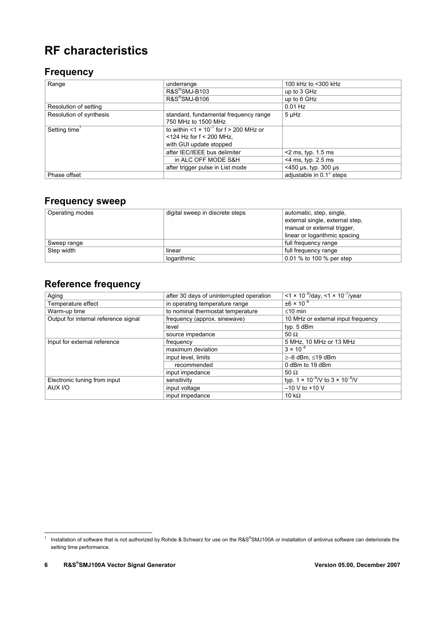# **RF characteristics**

#### **Frequency**

| Range                     | underrange                                                   | 100 kHz to <300 kHz      |
|---------------------------|--------------------------------------------------------------|--------------------------|
|                           | R&S®SMJ-B103                                                 | up to 3 GHz              |
|                           | R&S <sup>®</sup> SMJ-B106                                    | up to 6 GHz              |
| Resolution of setting     |                                                              | $0.01$ Hz                |
| Resolution of synthesis   | standard, fundamental frequency range                        | $5 \mu Hz$               |
|                           | 750 MHz to 1500 MHz                                          |                          |
| Setting time <sup>1</sup> | to within $<$ 1 $\times$ 10 <sup>-7</sup> for f > 200 MHz or |                          |
|                           | $<$ 124 Hz for f $<$ 200 MHz,                                |                          |
|                           | with GUI update stopped                                      |                          |
|                           | after IEC/IEEE bus delimiter                                 | $<$ 2 ms, typ. 1.5 ms    |
|                           | in ALC OFF MODE S&H                                          | $<$ 4 ms, typ. 2.5 ms    |
|                           | after trigger pulse in List mode                             | $<$ 450 µs, typ. 300 µs  |
| Phase offset              |                                                              | adjustable in 0.1° steps |

#### **Frequency sweep**

| Operating modes | digital sweep in discrete steps | automatic, step, single,<br>external single, external step,<br>manual or external trigger,<br>linear or logarithmic spacing |
|-----------------|---------------------------------|-----------------------------------------------------------------------------------------------------------------------------|
| Sweep range     |                                 | full frequency range                                                                                                        |
| Step width      | linear                          | full frequency range                                                                                                        |
|                 | logarithmic                     | 0.01 % to 100 % per step                                                                                                    |

## **Reference frequency**

| Aging                                | after 30 days of uninterrupted operation | $\sqrt{1 \times 10^{-9}}$ /day, <1 × 10 <sup>-7</sup> /year |
|--------------------------------------|------------------------------------------|-------------------------------------------------------------|
| Temperature effect                   | in operating temperature range           | $\pm 6 \times 10^{-8}$                                      |
| Warm-up time                         | to nominal thermostat temperature        | $\leq 10$ min                                               |
| Output for internal reference signal | frequency (approx. sinewave)             | 10 MHz or external input frequency                          |
|                                      | level                                    | typ. 5 dBm                                                  |
|                                      | source impedance                         | 50 $\Omega$                                                 |
| Input for external reference         | frequency                                | 5 MHz, 10 MHz or 13 MHz                                     |
|                                      | maximum deviation                        | $3 \times 10^{-6}$                                          |
|                                      | input level, limits                      | $\geq -6$ dBm, $\leq$ 19 dBm                                |
|                                      | recommended                              | 0 dBm to 19 dBm                                             |
|                                      | input impedance                          | 50 $\Omega$                                                 |
| Electronic tuning from input         | sensitivity                              | typ. $1 \times 10^{-8}$ / to $3 \times 10^{-8}$ / V         |
| AUX I/O                              | input voltage                            | $-10$ V to $+10$ V                                          |
|                                      | input impedance                          | 10 k $\Omega$                                               |

 1 Installation of software that is not authorized by Rohde & Schwarz for use on the R&S® SMJ100A or installation of antivirus software can deteriorate the setting time performance.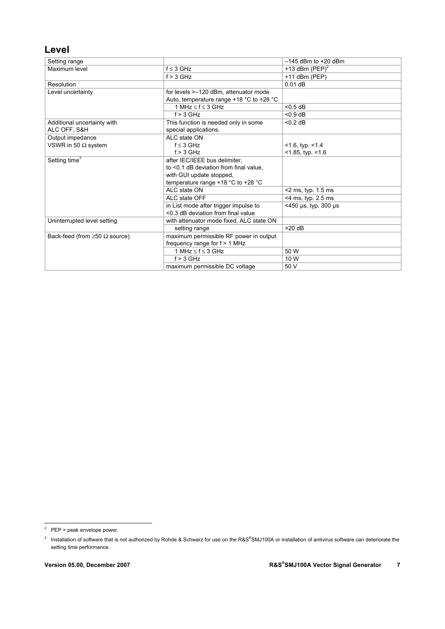#### **Level**

| Setting range                            |                                          | $-145$ dBm to $+20$ dBm |
|------------------------------------------|------------------------------------------|-------------------------|
| Maximum level                            | $f \leq 3$ GHz                           | +13 dBm $(PEP)^2$       |
|                                          | $f > 3$ GHz                              | $+11$ dBm (PEP)         |
| Resolution                               |                                          | $0.01$ dB               |
| Level uncertainty                        | for levels >-120 dBm, attenuator mode    |                         |
|                                          | Auto, temperature range +18 °C to +28 °C |                         |
|                                          | 1 MHz $\leq$ f $\leq$ 3 GHz              | < 0.5 dB                |
|                                          | $f > 3$ GHz                              | $< 0.9$ dB              |
| Additional uncertainty with              | This function is needed only in some     | $< 0.2$ dB              |
| ALC OFF, S&H                             | special applications.                    |                         |
| Output impedance                         | ALC state ON                             |                         |
| VSWR in 50 $\Omega$ system               | $f \leq 3$ GHz                           | $<$ 1.6, typ. $<$ 1.4   |
|                                          | $f > 3$ GHz                              | $<$ 1.85, typ. $<$ 1.6  |
| Setting time <sup>3</sup>                | after IEC/IEEE bus delimiter,            |                         |
|                                          | to <0.1 dB deviation from final value.   |                         |
|                                          | with GUI update stopped,                 |                         |
|                                          | temperature range $+18$ °C to $+28$ °C   |                         |
|                                          | ALC state ON                             | $<$ 2 ms, typ. 1.5 ms   |
|                                          | ALC state OFF                            | $<$ 4 ms, typ. 2.5 ms   |
|                                          | in List mode after trigger impulse to    | $<$ 450 µs, typ. 300 µs |
|                                          | <0.3 dB deviation from final value       |                         |
| Uninterrupted level setting              | with attenuator mode fixed, ALC state ON |                         |
|                                          | setting range                            | $>20$ dB                |
| Back-feed (from $\geq 50 \Omega$ source) | maximum permissible RF power in output   |                         |
|                                          | frequency range for $f > 1$ MHz          |                         |
|                                          | 1 MHz $\leq$ f $\leq$ 3 GHz              | 50 W                    |
|                                          | $f > 3$ GHz                              | 10 W                    |
|                                          | maximum permissible DC voltage           | 50 V                    |

ender —<br><sup>2</sup> PEP = peak envelope power.

 $3$  Installation of software that is not authorized by Rohde & Schwarz for use on the R&S®SMJ100A or installation of antivirus software can deteriorate the setting time performance.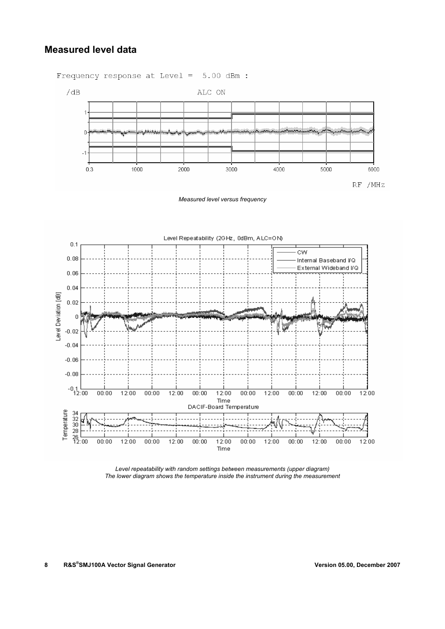#### **Measured level data**

Frequency response at Level = 5.00 dBm :



*Measured level versus frequency* 



*Level repeatability with random settings between measurements (upper diagram) The lower diagram shows the temperature inside the instrument during the measurement*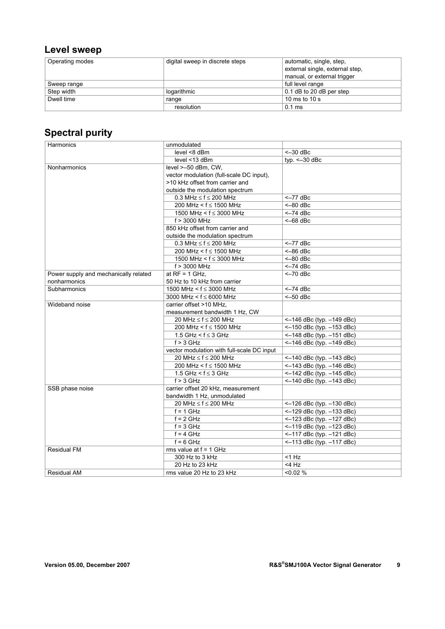## **Level sweep**

| Operating modes | digital sweep in discrete steps | automatic, single, step,        |
|-----------------|---------------------------------|---------------------------------|
|                 |                                 | external single, external step, |
|                 |                                 | manual, or external trigger     |
| Sweep range     |                                 | full level range                |
| Step width      | logarithmic                     | 0.1 dB to 20 dB per step        |
| Dwell time      | range                           | 10 ms to 10 s                   |
|                 | resolution                      | $0.1$ ms                        |

# **Spectral purity**

| Harmonics                             | unmodulated                                |                               |
|---------------------------------------|--------------------------------------------|-------------------------------|
|                                       | level <8 dBm                               | $<-30$ dBc                    |
|                                       | level <13 dBm                              | typ. $\leq -30$ dBc           |
| Nonharmonics                          | level >-50 dBm, CW,                        |                               |
|                                       | vector modulation (full-scale DC input),   |                               |
|                                       | >10 kHz offset from carrier and            |                               |
|                                       | outside the modulation spectrum            |                               |
|                                       | 0.3 MHz $\leq$ f $\leq$ 200 MHz            | $<-77$ dBc                    |
|                                       | 200 MHz < $f \le 1500$ MHz                 | $<-80$ dBc                    |
|                                       | 1500 MHz < $f \le 3000$ MHz                | $<-74$ dBc                    |
|                                       | f > 3000 MHz                               | $<-68$ dBc                    |
|                                       | 850 kHz offset from carrier and            |                               |
|                                       | outside the modulation spectrum            |                               |
|                                       | 0.3 MHz $\leq$ f $\leq$ 200 MHz            | $<-77$ dBc                    |
|                                       | 200 MHz < $f \le 1500$ MHz                 | $<-86$ dBc                    |
|                                       | 1500 MHz < $f \le 3000$ MHz                | $<-80$ dBc                    |
|                                       | f > 3000 MHz                               | $<-74$ dBc                    |
| Power supply and mechanically related | at $RF = 1$ GHz,                           | $<-70$ dBc                    |
| nonharmonics                          | 50 Hz to 10 kHz from carrier               |                               |
| Subharmonics                          | 1500 MHz < $f \le 3000$ MHz                | $<-74$ dBc                    |
|                                       | 3000 MHz < $f \le 6000$ MHz                | $<-50$ dBc                    |
| Wideband noise                        | carrier offset >10 MHz.                    |                               |
|                                       | measurement bandwidth 1 Hz, CW             |                               |
|                                       | 20 MHz $\leq$ f $\leq$ 200 MHz             | <-146 dBc (typ. -149 dBc)     |
|                                       | 200 MHz < $f \le 1500$ MHz                 | <-150 dBc (typ. -153 dBc)     |
|                                       | 1.5 GHz < $f \le 3$ GHz                    | $<-148$ dBc (typ. $-151$ dBc) |
|                                       | $f > 3$ GHz                                | <-146 dBc (typ. -149 dBc)     |
|                                       | vector modulation with full-scale DC input |                               |
|                                       | 20 MHz ≤ f ≤ 200 MHz                       | <-140 dBc (typ. -143 dBc)     |
|                                       | 200 MHz < $f \le 1500$ MHz                 | <-143 dBc (typ. -146 dBc)     |
|                                       | 1.5 GHz < $f \le 3$ GHz                    | $<-142$ dBc (typ. $-145$ dBc) |
|                                       | $f > 3$ GHz                                | $<-140$ dBc (typ. $-143$ dBc) |
| SSB phase noise                       | carrier offset 20 kHz, measurement         |                               |
|                                       | bandwidth 1 Hz, unmodulated                |                               |
|                                       | 20 MHz $\leq$ f $\leq$ 200 MHz             | <-126 dBc (typ. -130 dBc)     |
|                                       | $f = 1$ GHz                                | <-129 dBc (typ. -133 dBc)     |
|                                       | $f = 2$ GHz                                | <-123 dBc (typ. -127 dBc)     |
|                                       | $f = 3$ GHz                                | $<-119$ dBc (typ. $-123$ dBc) |
|                                       | $f = 4$ GHz                                | $<-117$ dBc (typ. $-121$ dBc) |
|                                       | $f = 6$ GHz                                | <-113 dBc (typ. -117 dBc)     |
| <b>Residual FM</b>                    | rms value at $f = 1$ GHz                   |                               |
|                                       | 300 Hz to 3 kHz                            | $<$ 1 $Hz$                    |
|                                       | 20 Hz to 23 kHz                            | $<$ 4 Hz                      |
| Residual AM                           | rms value 20 Hz to 23 kHz                  | $< 0.02 \%$                   |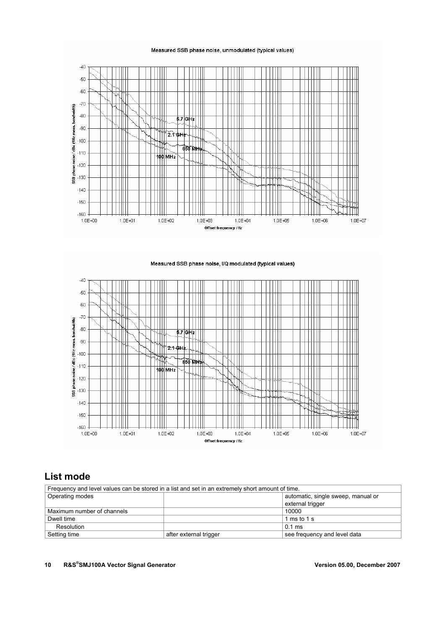$-40$  $-50$  $-60$ Ñ  $-70$ bandwidth)  $-80$  $5.7$  GHz ħ T٢  $2.1$  GHz T۳ W. วีธิชาฟ+ 100 MH<sub>2</sub> N Ш ₩ Ш  $-140$  $\frac{1}{2}$  $-150$ Ш  $-160$  $1.0E + 02$  $1.0E + 00$  $1.0E + 01$  $1.0E + 03$  $1.0E + 04$  $1.0E + 05$  $1.0E + 06$  $1.0E + 07$ Offset frequency / Hz

#### Measured SSB phase noise, unmodulated (typical values)

Measured SSB phase noise, I/Q modulated (typical values)



#### **List mode**

| Frequency and level values can be stored in a list and set in an extremely short amount of time. |                        |                                    |  |
|--------------------------------------------------------------------------------------------------|------------------------|------------------------------------|--|
| Operating modes                                                                                  |                        | automatic, single sweep, manual or |  |
|                                                                                                  |                        | external trigger                   |  |
| Maximum number of channels                                                                       |                        | 10000                              |  |
| Dwell time                                                                                       |                        | 1 ms to 1 s                        |  |
| Resolution                                                                                       |                        | $0.1 \text{ ms}$                   |  |
| Setting time                                                                                     | after external trigger | see frequency and level data       |  |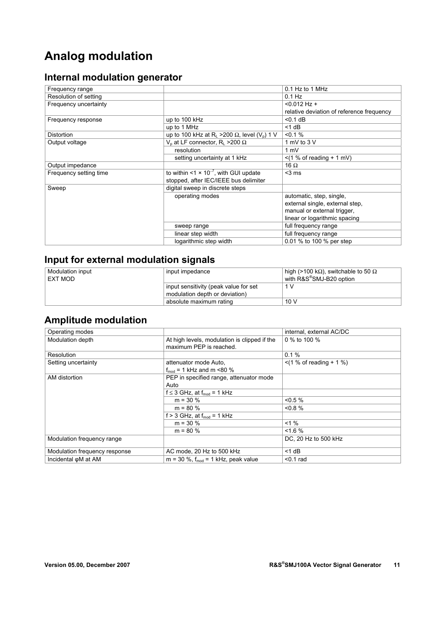# **Analog modulation**

# **Internal modulation generator**

| Frequency range        |                                                                             | $0.1$ Hz to 1 MHz                         |
|------------------------|-----------------------------------------------------------------------------|-------------------------------------------|
| Resolution of setting  |                                                                             | $0.1$ Hz                                  |
| Frequency uncertainty  |                                                                             | $< 0.012$ Hz +                            |
|                        |                                                                             | relative deviation of reference frequency |
| Frequency response     | up to 100 kHz                                                               | $< 0.1$ dB                                |
|                        | up to 1 MHz                                                                 | $<$ 1 dB                                  |
| <b>Distortion</b>      | up to 100 kHz at R <sub>L</sub> >200 $\Omega$ , level (V <sub>p</sub> ) 1 V | $< 0.1 \%$                                |
| Output voltage         | $V_p$ at LF connector, R <sub>1</sub> >200 $\Omega$                         | 1 mV to 3 V                               |
|                        | resolution                                                                  | $1 \text{ mV}$                            |
|                        | setting uncertainty at 1 kHz                                                | $\le$ (1 % of reading + 1 mV)             |
| Output impedance       |                                                                             | 16 $\Omega$                               |
| Frequency setting time | to within <1 $\times$ 10 <sup>-7</sup> , with GUI update                    | $<$ 3 ms                                  |
|                        | stopped, after IEC/IEEE bus delimiter                                       |                                           |
| Sweep                  | digital sweep in discrete steps                                             |                                           |
|                        | operating modes                                                             | automatic, step, single,                  |
|                        |                                                                             | external single, external step,           |
|                        |                                                                             | manual or external trigger,               |
|                        |                                                                             | linear or logarithmic spacing             |
|                        | sweep range                                                                 | full frequency range                      |
|                        | linear step width                                                           | full frequency range                      |
|                        | logarithmic step width                                                      | 0.01 % to 100 % per step                  |

## **Input for external modulation signals**

| Modulation input<br>EXT MOD | input impedance                                                         | high (>100 kΩ), switchable to 50 $\Omega$<br>with R&S®SMJ-B20 option |
|-----------------------------|-------------------------------------------------------------------------|----------------------------------------------------------------------|
|                             | input sensitivity (peak value for set<br>modulation depth or deviation) |                                                                      |
|                             | absolute maximum rating                                                 | 10V                                                                  |

## **Amplitude modulation**

| Operating modes               |                                                                         | internal, external AC/DC     |
|-------------------------------|-------------------------------------------------------------------------|------------------------------|
| Modulation depth              | At high levels, modulation is clipped if the<br>maximum PEP is reached. | 0 % to 100 %                 |
| Resolution                    |                                                                         | 0.1%                         |
| Setting uncertainty           | attenuator mode Auto.<br>$f_{\text{mod}}$ = 1 kHz and m <80 %           | $\le$ (1 % of reading + 1 %) |
| AM distortion                 | PEP in specified range, attenuator mode<br>Auto                         |                              |
|                               | $f \leq 3$ GHz, at $f_{mod} = 1$ kHz                                    |                              |
|                               | $m = 30 \%$                                                             | $< 0.5 \%$                   |
|                               | $m = 80 \%$                                                             | $< 0.8 \%$                   |
|                               | f > 3 GHz, at $f_{mod}$ = 1 kHz                                         |                              |
|                               | $m = 30 %$                                                              | $< 1 \%$                     |
|                               | $m = 80 \%$                                                             | < 1.6 %                      |
| Modulation frequency range    |                                                                         | DC, 20 Hz to 500 kHz         |
| Modulation frequency response | AC mode, 20 Hz to 500 kHz                                               | $<$ 1 dB                     |
| Incidental oM at AM           | $m = 30$ %, $f_{mod} = 1$ kHz, peak value                               | $0.1$ rad                    |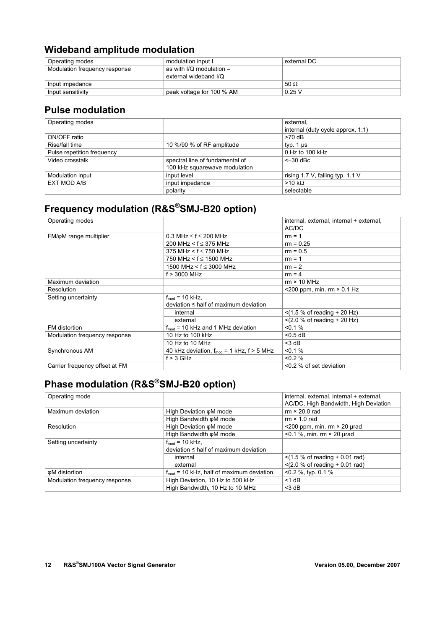#### **Wideband amplitude modulation**

| Operating modes               | modulation input I         | external DC |
|-------------------------------|----------------------------|-------------|
| Modulation frequency response | as with I/Q modulation $-$ |             |
|                               | external wideband I/Q      |             |
| Input impedance               |                            | 50 $\Omega$ |
| Input sensitivity             | peak voltage for 100 % AM  | 0.25V       |

#### **Pulse modulation**

| Operating modes            |                                 | external,                         |
|----------------------------|---------------------------------|-----------------------------------|
|                            |                                 | internal (duty cycle approx. 1:1) |
| ON/OFF ratio               |                                 | $>70$ dB                          |
| Rise/fall time             | 10 %/90 % of RF amplitude       | typ. $1 \mu s$                    |
| Pulse repetition frequency |                                 | $0$ Hz to 100 kHz                 |
| Video crosstalk            | spectral line of fundamental of | $<-30$ dBc                        |
|                            | 100 kHz squarewave modulation   |                                   |
| Modulation input           | input level                     | rising 1.7 V, falling typ. 1.1 V  |
| EXT MOD A/B                | input impedance                 | $>10 k\Omega$                     |
|                            | polarity                        | selectable                        |

# **Frequency modulation (R&S®SMJ-B20 option)**

| Operating modes                |                                                  | internal, external, internal + external, |
|--------------------------------|--------------------------------------------------|------------------------------------------|
|                                |                                                  | AC/DC                                    |
| FM/oM range multiplier         | $0.3$ MHz $\leq$ f $\leq$ 200 MHz                | $rm = 1$                                 |
|                                | 200 MHz < $f \leq 375$ MHz                       | $rm = 0.25$                              |
|                                | 375 MHz < $f \le 750$ MHz                        | $rm = 0.5$                               |
|                                | 750 MHz < f ≤ 1500 MHz                           | $rm = 1$                                 |
|                                | 1500 MHz < $f \le 3000$ MHz                      | $rm = 2$                                 |
|                                | f > 3000 MHz                                     | $rm = 4$                                 |
| Maximum deviation              |                                                  | $rm \times 10$ MHz                       |
| Resolution                     |                                                  | <200 ppm, min. $rm \times 0.1$ Hz        |
| Setting uncertainty            | $f_{\text{mod}}$ = 10 kHz,                       |                                          |
|                                | $deviation \leq half of maximum deviation$       |                                          |
|                                | internal                                         | $<$ (1.5 % of reading + 20 Hz)           |
|                                | external                                         | $<$ (2.0 % of reading + 20 Hz)           |
| FM distortion                  | $f_{mod}$ = 10 kHz and 1 MHz deviation           | $< 0.1 \%$                               |
| Modulation frequency response  | 10 Hz to 100 kHz                                 | $<$ 0.5 dB                               |
|                                | 10 Hz to 10 MHz                                  | $<$ 3 dB                                 |
| Synchronous AM                 | 40 kHz deviation, $f_{mod} = 1$ kHz, $f > 5$ MHz | $< 0.1 \%$                               |
|                                | $f > 3$ GHz                                      | $0.2\%$                                  |
| Carrier frequency offset at FM |                                                  | <0.2 % of set deviation                  |

# **Phase modulation (R&S®SMJ-B20 option)**

| Operating mode                |                                                      | internal, external, internal + external, |
|-------------------------------|------------------------------------------------------|------------------------------------------|
|                               |                                                      | AC/DC, High Bandwidth, High Deviation    |
| Maximum deviation             | High Deviation oM mode                               | $rm \times 20.0$ rad                     |
|                               | High Bandwidth oM mode                               | $rm \times 1.0$ rad                      |
| Resolution                    | High Deviation oM mode                               | $\leq$ 200 ppm, min. rm $\times$ 20 µrad |
|                               | High Bandwidth oM mode                               | $<$ 0.1 %, min. rm $\times$ 20 µrad      |
| Setting uncertainty           | $f_{mod}$ = 10 kHz,                                  |                                          |
|                               | $deviation \leq half of maximum deviation$           |                                          |
|                               | internal                                             | $<$ (1.5 % of reading + 0.01 rad)        |
|                               | external                                             | $<$ (2.0 % of reading + 0.01 rad)        |
| φM distortion                 | $f_{\text{mod}}$ = 10 kHz, half of maximum deviation | $<$ 0.2 %, typ. 0.1 %                    |
| Modulation frequency response | High Deviation, 10 Hz to 500 kHz                     | $<$ 1 dB                                 |
|                               | High Bandwidth, 10 Hz to 10 MHz                      | $<$ 3 dB                                 |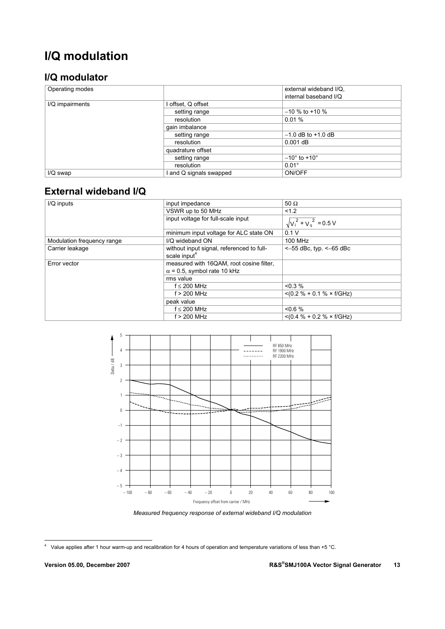# **I/Q modulation**

### **I/Q modulator**

| Operating modes |                       | external wideband I/Q.         |
|-----------------|-----------------------|--------------------------------|
|                 |                       | internal baseband I/Q          |
| I/Q impairments | l offset, Q offset    |                                |
|                 | setting range         | $-10\%$ to +10 %               |
|                 | resolution            | 0.01%                          |
|                 | gain imbalance        |                                |
|                 | setting range         | $-1.0$ dB to $+1.0$ dB         |
|                 | resolution            | $0.001$ dB                     |
|                 | quadrature offset     |                                |
|                 | setting range         | $-10^{\circ}$ to $+10^{\circ}$ |
|                 | resolution            | $0.01^\circ$                   |
| $I/Q$ swap      | and Q signals swapped | ON/OFF                         |

### **External wideband I/Q**

| I/Q inputs                 | input impedance                                                       | 50 $\Omega$                      |
|----------------------------|-----------------------------------------------------------------------|----------------------------------|
|                            | VSWR up to 50 MHz                                                     | 1.2                              |
|                            | input voltage for full-scale input                                    | $\sqrt{v_i^2 + v_a^2}$ = 0.5 V   |
|                            | minimum input voltage for ALC state ON                                | 0.1V                             |
| Modulation frequency range | I/Q wideband ON                                                       | 100 MHz                          |
| Carrier leakage            | without input signal, referenced to full-<br>scale input <sup>4</sup> | $<-55$ dBc, typ. $<-65$ dBc      |
| Error vector               | measured with 16QAM, root cosine filter,                              |                                  |
|                            | $\alpha$ = 0.5, symbol rate 10 kHz                                    |                                  |
|                            | rms value                                                             |                                  |
|                            | $f \leq 200$ MHz                                                      | $< 0.3 \%$                       |
|                            | $f > 200$ MHz                                                         | $< (0.2 % + 0.1 % \times f/GHz)$ |
|                            | peak value                                                            |                                  |
|                            | $f \leq 200$ MHz                                                      | &0.6%                            |
|                            | $f > 200$ MHz                                                         | $< (0.4 % + 0.2 % \times f/GHz)$ |



*Measured frequency response of external wideband I/Q modulation* 

 4 Value applies after 1 hour warm-up and recalibration for 4 hours of operation and temperature variations of less than +5 °C.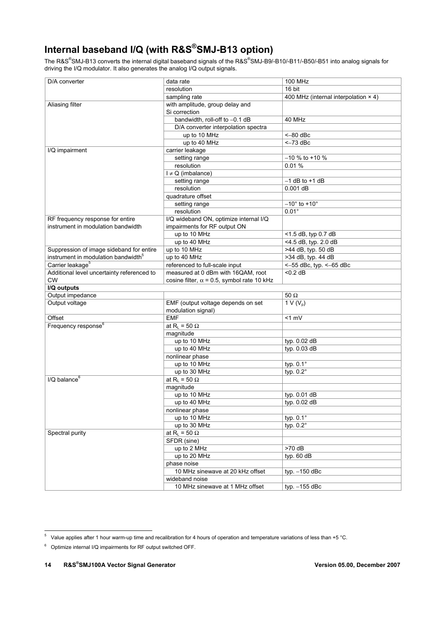# **Internal baseband I/Q (with R&S®SMJ-B13 option)**

The R&S®SMJ-B13 converts the internal digital baseband signals of the R&S®SMJ-B9/-B10/-B11/-B50/-B51 into analog signals for driving the I/Q modulator. It also generates the analog I/Q output signals.

| D/A converter                                   | data rate                                                | <b>100 MHz</b>                              |
|-------------------------------------------------|----------------------------------------------------------|---------------------------------------------|
|                                                 | resolution                                               | 16 bit                                      |
|                                                 | sampling rate                                            | 400 MHz (internal interpolation $\times$ 4) |
| Aliasing filter                                 | with amplitude, group delay and                          |                                             |
|                                                 | Si correction                                            |                                             |
|                                                 | bandwidth, roll-off to -0.1 dB                           | 40 MHz                                      |
|                                                 | D/A converter interpolation spectra                      |                                             |
|                                                 | up to 10 MHz                                             | $<-80$ dBc                                  |
|                                                 | up to 40 MHz                                             | $<-73$ dBc                                  |
| I/Q impairment                                  | carrier leakage                                          |                                             |
|                                                 | setting range                                            | $-10$ % to +10 %                            |
|                                                 | resolution                                               | 0.01%                                       |
|                                                 | $I \neq Q$ (imbalance)                                   |                                             |
|                                                 | setting range                                            | $-1$ dB to $+1$ dB                          |
|                                                 | resolution                                               | $0.001$ dB                                  |
|                                                 | quadrature offset                                        |                                             |
|                                                 |                                                          | $-10^{\circ}$ to $+10^{\circ}$              |
|                                                 | setting range                                            | $0.01^\circ$                                |
|                                                 | resolution                                               |                                             |
| RF frequency response for entire                | I/Q wideband ON, optimize internal I/Q                   |                                             |
| instrument in modulation bandwidth              | impairments for RF output ON                             |                                             |
|                                                 | up to 10 MHz                                             | <1.5 dB, typ 0.7 dB                         |
|                                                 | up to 40 MHz                                             | <4.5 dB, typ. 2.0 dB                        |
| Suppression of image sideband for entire        | up to 10 MHz                                             | $\overline{\phantom{1}}$ >44 dB, typ. 50 dB |
| instrument in modulation bandwidth <sup>5</sup> | up to 40 MHz                                             | >34 dB, typ. 44 dB                          |
| Carrier leakage <sup>5</sup>                    | referenced to full-scale input                           | $<-55$ dBc, typ. $<-65$ dBc                 |
| Additional level uncertainty referenced to      | measured at 0 dBm with 16QAM, root                       | $<$ 0.2 dB                                  |
| <b>CW</b>                                       | cosine filter, $\alpha$ = 0.5, symbol rate 10 kHz        |                                             |
| I/Q outputs                                     |                                                          |                                             |
| Output impedance                                |                                                          | $50\ \Omega$                                |
| Output voltage                                  | EMF (output voltage depends on set<br>modulation signal) | $1 V(V_p)$                                  |
| Offset                                          | <b>EMF</b>                                               | $<1$ mV                                     |
| Frequency response <sup>6</sup>                 | at R <sub>L</sub> = 50 $\Omega$                          |                                             |
|                                                 | magnitude                                                |                                             |
|                                                 | up to 10 MHz                                             | typ. 0.02 dB                                |
|                                                 | up to 40 MHz                                             | typ. 0.03 dB                                |
|                                                 | nonlinear phase                                          |                                             |
|                                                 | up to 10 MHz                                             | typ. 0.1°                                   |
|                                                 | up to 30 MHz                                             | typ. $0.2^\circ$                            |
| $I/Q$ balance $6$                               | at R <sub>L</sub> = 50 $\Omega$                          |                                             |
|                                                 | magnitude                                                |                                             |
|                                                 | up to 10 MHz                                             | typ. 0.01 dB                                |
|                                                 | up to 40 MHz                                             | typ. 0.02 dB                                |
|                                                 |                                                          |                                             |
|                                                 | nonlinear phase                                          |                                             |
|                                                 | up to 10 MHz                                             | typ. 0.1°                                   |
|                                                 | up to 30 MHz                                             | typ. 0.2°                                   |
| Spectral purity                                 | at R <sub>L</sub> = 50 $\Omega$                          |                                             |
|                                                 | SFDR (sine)                                              |                                             |
|                                                 | up to 2 MHz                                              | >70 dB                                      |
|                                                 | up to 20 MHz                                             | typ. 60 dB                                  |
|                                                 | phase noise                                              |                                             |
|                                                 | 10 MHz sinewave at 20 kHz offset                         | typ. $-150$ dBc                             |
|                                                 | wideband noise                                           |                                             |
|                                                 | 10 MHz sinewave at 1 MHz offset                          | typ. $-155$ dBc                             |

 5 Value applies after 1 hour warm-up time and recalibration for 4 hours of operation and temperature variations of less than +5 °C.

 $6$  Optimize internal I/Q impairments for RF output switched OFF.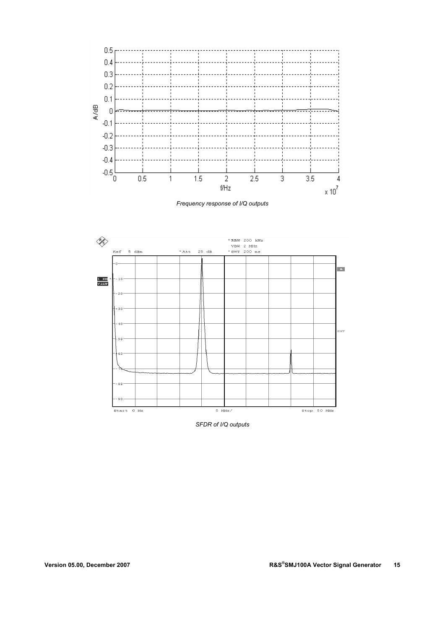

*Frequency response of I/Q outputs* 



*SFDR of I/Q outputs*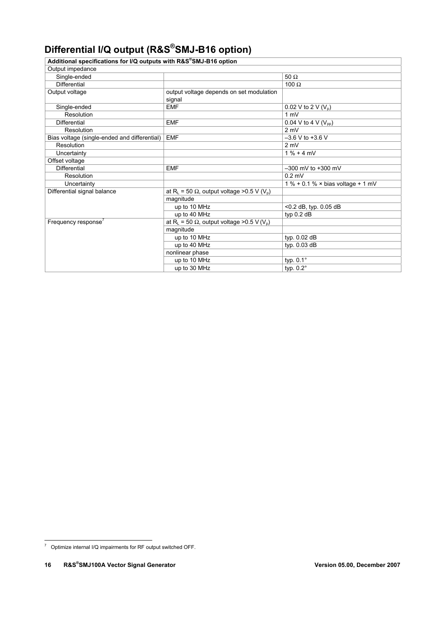# **Differential I/Q output (R&S®SMJ-B16 option)**

| Additional specifications for I/Q outputs with R&S®SMJ-B16 option |                                                                            |                                                         |
|-------------------------------------------------------------------|----------------------------------------------------------------------------|---------------------------------------------------------|
| Output impedance                                                  |                                                                            |                                                         |
| Single-ended                                                      |                                                                            | 50 $\Omega$                                             |
| <b>Differential</b>                                               |                                                                            | 100 $\Omega$                                            |
| Output voltage                                                    | output voltage depends on set modulation<br>signal                         |                                                         |
| Single-ended                                                      | <b>EMF</b>                                                                 | 0.02 V to 2 V $(V_n)$                                   |
| Resolution                                                        |                                                                            | 1 mV                                                    |
| <b>Differential</b>                                               | <b>EMF</b>                                                                 | 0.04 V to 4 V $(V_{pp})$                                |
| Resolution                                                        |                                                                            | 2 mV                                                    |
| Bias voltage (single-ended and differential)                      | <b>EMF</b>                                                                 | $-3.6$ V to $+3.6$ V                                    |
| Resolution                                                        |                                                                            | 2 mV                                                    |
| Uncertainty                                                       |                                                                            | $1% + 4mV$                                              |
| Offset voltage                                                    |                                                                            |                                                         |
| <b>Differential</b>                                               | <b>EMF</b>                                                                 | $-300$ mV to $+300$ mV                                  |
| Resolution                                                        |                                                                            | $0.2$ mV                                                |
| Uncertainty                                                       |                                                                            | $1\% + 0.1\% \times \text{bias voltage} + 1 \text{ mV}$ |
| Differential signal balance                                       | at R <sub>L</sub> = 50 $\Omega$ , output voltage > 0.5 V (V <sub>D</sub> ) |                                                         |
|                                                                   | magnitude                                                                  |                                                         |
|                                                                   | up to 10 MHz                                                               | $<$ 0.2 dB, typ. 0.05 dB                                |
|                                                                   | up to 40 MHz                                                               | typ $0.2$ dB                                            |
| Frequency response <sup>7</sup>                                   | at R <sub>L</sub> = 50 $\Omega$ , output voltage > 0.5 V (V <sub>n</sub> ) |                                                         |
|                                                                   | magnitude                                                                  |                                                         |
|                                                                   | up to 10 MHz                                                               | typ. 0.02 dB                                            |
|                                                                   | up to 40 MHz                                                               | typ. 0.03 dB                                            |
|                                                                   | nonlinear phase                                                            |                                                         |
|                                                                   | up to 10 MHz                                                               | typ. $0.1^\circ$                                        |
|                                                                   | up to 30 MHz                                                               | typ. $0.2^\circ$                                        |

 7 Optimize internal I/Q impairments for RF output switched OFF.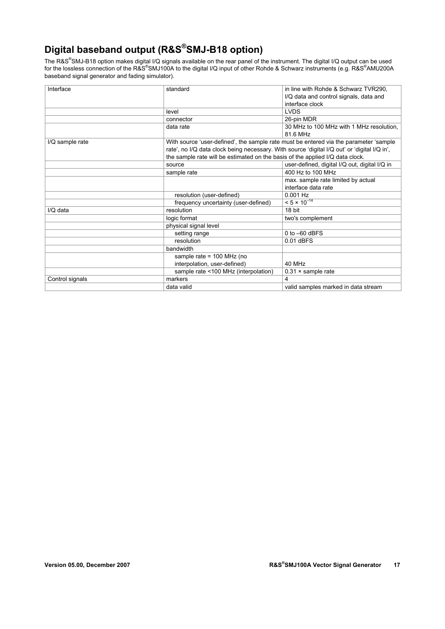# **Digital baseband output (R&S®SMJ-B18 option)**

The R&S®SMJ-B18 option makes digital I/Q signals available on the rear panel of the instrument. The digital I/Q output can be used for the lossless connection of the R&S®SMJ100A to the digital I/Q input of other Rohde & Schwarz instruments (e.g. R&S®AMU200A baseband signal generator and fading simulator).

| Interface       | standard                                                                      | in line with Rohde & Schwarz TVR290.                                                         |
|-----------------|-------------------------------------------------------------------------------|----------------------------------------------------------------------------------------------|
|                 |                                                                               | I/Q data and control signals, data and                                                       |
|                 |                                                                               | interface clock                                                                              |
|                 | level                                                                         | <b>LVDS</b>                                                                                  |
|                 | connector                                                                     | 26-pin MDR                                                                                   |
|                 | data rate                                                                     | 30 MHz to 100 MHz with 1 MHz resolution.                                                     |
|                 |                                                                               | 81.6 MHz                                                                                     |
| I/Q sample rate |                                                                               | With source 'user-defined', the sample rate must be entered via the parameter 'sample        |
|                 |                                                                               | rate', no I/Q data clock being necessary. With source 'digital I/Q out' or 'digital I/Q in', |
|                 | the sample rate will be estimated on the basis of the applied I/Q data clock. |                                                                                              |
|                 | source                                                                        | user-defined, digital I/Q out, digital I/Q in                                                |
|                 | sample rate                                                                   | 400 Hz to 100 MHz                                                                            |
|                 |                                                                               | max. sample rate limited by actual                                                           |
|                 |                                                                               | interface data rate                                                                          |
|                 | resolution (user-defined)                                                     | $0.001$ Hz                                                                                   |
|                 | frequency uncertainty (user-defined)                                          | $< 5 \times 10^{-14}$                                                                        |
| I/Q data        | resolution                                                                    | 18 bit                                                                                       |
|                 | logic format                                                                  | two's complement                                                                             |
|                 | physical signal level                                                         |                                                                                              |
|                 | setting range                                                                 | $0$ to $-60$ dBFS                                                                            |
|                 | resolution                                                                    | $0.01$ dBFS                                                                                  |
|                 | bandwidth                                                                     |                                                                                              |
|                 | sample rate = $100$ MHz (no                                                   |                                                                                              |
|                 | interpolation, user-defined)                                                  | 40 MHz                                                                                       |
|                 | sample rate <100 MHz (interpolation)                                          | $0.31 \times$ sample rate                                                                    |
| Control signals | markers                                                                       | 4                                                                                            |
|                 | data valid                                                                    | valid samples marked in data stream                                                          |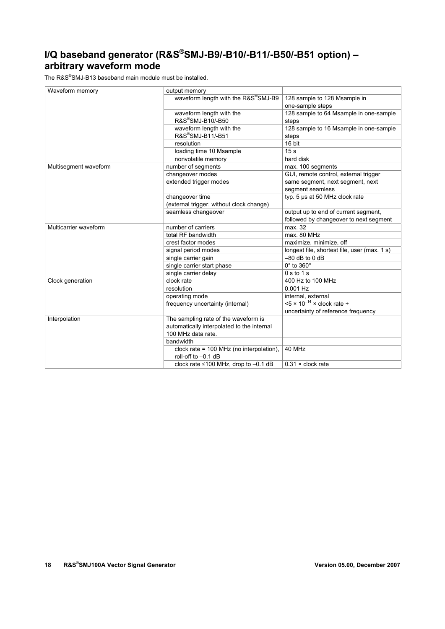# **I/Q baseband generator (R&S®SMJ-B9/-B10/-B11/-B50/-B51 option) – arbitrary waveform mode**

The R&S® SMJ-B13 baseband main module must be installed.

| Waveform memory       | output memory                              |                                              |
|-----------------------|--------------------------------------------|----------------------------------------------|
|                       | waveform length with the R&S®SMJ-B9        | 128 sample to 128 Msample in                 |
|                       |                                            | one-sample steps                             |
|                       | waveform length with the                   | 128 sample to 64 Msample in one-sample       |
|                       | R&S®SMJ-B10/-B50                           | steps                                        |
|                       | waveform length with the                   | 128 sample to 16 Msample in one-sample       |
|                       | R&S®SMJ-B11/-B51                           | steps                                        |
|                       | resolution                                 | 16 bit                                       |
|                       | loading time 10 Msample                    | 15 <sub>s</sub>                              |
|                       | nonvolatile memory                         | hard disk                                    |
| Multisegment waveform | number of segments                         | max. 100 segments                            |
|                       | changeover modes                           | GUI, remote control, external trigger        |
|                       | extended trigger modes                     | same segment, next segment, next             |
|                       |                                            | segment seamless                             |
|                       | changeover time                            | typ. 5 µs at 50 MHz clock rate               |
|                       | (external trigger, without clock change)   |                                              |
|                       | seamless changeover                        | output up to end of current segment,         |
|                       |                                            | followed by changeover to next segment       |
| Multicarrier waveform | number of carriers                         | max. 32                                      |
|                       | total RF bandwidth                         | max. 80 MHz                                  |
|                       | crest factor modes                         | maximize, minimize, off                      |
|                       | signal period modes                        | longest file, shortest file, user (max. 1 s) |
|                       | single carrier gain                        | $-80$ dB to 0 dB                             |
|                       | single carrier start phase                 | $0^\circ$ to $360^\circ$                     |
|                       | single carrier delay                       | 0 s to 1 s                                   |
| Clock generation      | clock rate                                 | 400 Hz to 100 MHz                            |
|                       | resolution                                 | 0.001 Hz                                     |
|                       | operating mode                             | internal, external                           |
|                       | frequency uncertainty (internal)           | $< 5 \times 10^{-14} \times$ clock rate +    |
|                       |                                            | uncertainty of reference frequency           |
| Interpolation         | The sampling rate of the waveform is       |                                              |
|                       | automatically interpolated to the internal |                                              |
|                       | 100 MHz data rate.                         |                                              |
|                       | bandwidth                                  |                                              |
|                       | clock rate = $100$ MHz (no interpolation), | 40 MHz                                       |
|                       | roll-off to -0.1 dB                        |                                              |
|                       | clock rate ≤100 MHz, drop to -0.1 dB       | $0.31 \times$ clock rate                     |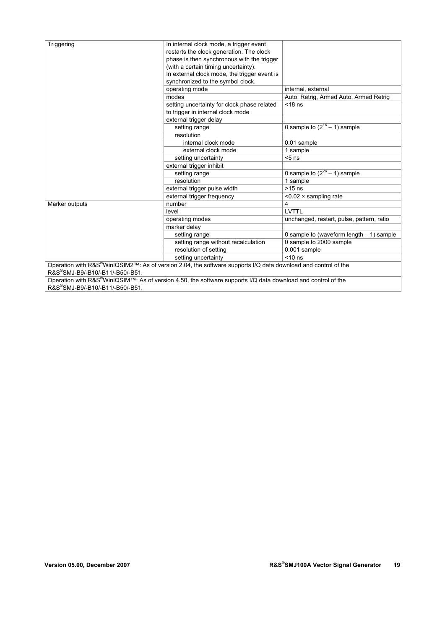| restarts the clock generation. The clock<br>phase is then synchronous with the trigger<br>(with a certain timing uncertainty).<br>In external clock mode, the trigger event is<br>synchronized to the symbol clock.<br>operating mode<br>internal, external<br>modes<br>Auto, Retrig, Armed Auto, Armed Retrig<br>setting uncertainty for clock phase related<br>$<$ 18 ns<br>to trigger in internal clock mode |            |                                         |                                            |
|-----------------------------------------------------------------------------------------------------------------------------------------------------------------------------------------------------------------------------------------------------------------------------------------------------------------------------------------------------------------------------------------------------------------|------------|-----------------------------------------|--------------------------------------------|
|                                                                                                                                                                                                                                                                                                                                                                                                                 | Triggering | In internal clock mode, a trigger event |                                            |
|                                                                                                                                                                                                                                                                                                                                                                                                                 |            |                                         |                                            |
|                                                                                                                                                                                                                                                                                                                                                                                                                 |            |                                         |                                            |
|                                                                                                                                                                                                                                                                                                                                                                                                                 |            |                                         |                                            |
|                                                                                                                                                                                                                                                                                                                                                                                                                 |            |                                         |                                            |
|                                                                                                                                                                                                                                                                                                                                                                                                                 |            |                                         |                                            |
|                                                                                                                                                                                                                                                                                                                                                                                                                 |            |                                         |                                            |
|                                                                                                                                                                                                                                                                                                                                                                                                                 |            |                                         |                                            |
|                                                                                                                                                                                                                                                                                                                                                                                                                 |            |                                         |                                            |
|                                                                                                                                                                                                                                                                                                                                                                                                                 |            |                                         |                                            |
|                                                                                                                                                                                                                                                                                                                                                                                                                 |            | external trigger delay                  |                                            |
| 0 sample to $(2^{16} – 1)$ sample<br>setting range                                                                                                                                                                                                                                                                                                                                                              |            |                                         |                                            |
| resolution                                                                                                                                                                                                                                                                                                                                                                                                      |            |                                         |                                            |
| internal clock mode<br>0.01 sample                                                                                                                                                                                                                                                                                                                                                                              |            |                                         |                                            |
| 1 sample<br>external clock mode                                                                                                                                                                                                                                                                                                                                                                                 |            |                                         |                                            |
| $5$ ns<br>setting uncertainty                                                                                                                                                                                                                                                                                                                                                                                   |            |                                         |                                            |
| external trigger inhibit                                                                                                                                                                                                                                                                                                                                                                                        |            |                                         |                                            |
| 0 sample to $(2^{26} – 1)$ sample<br>setting range                                                                                                                                                                                                                                                                                                                                                              |            |                                         |                                            |
| 1 sample<br>resolution                                                                                                                                                                                                                                                                                                                                                                                          |            |                                         |                                            |
| $>15$ ns<br>external trigger pulse width                                                                                                                                                                                                                                                                                                                                                                        |            |                                         |                                            |
| external trigger frequency<br>$< 0.02 \times$ sampling rate                                                                                                                                                                                                                                                                                                                                                     |            |                                         |                                            |
| 4<br>number<br>Marker outputs                                                                                                                                                                                                                                                                                                                                                                                   |            |                                         |                                            |
| LVTTL<br>level                                                                                                                                                                                                                                                                                                                                                                                                  |            |                                         |                                            |
| operating modes<br>unchanged, restart, pulse, pattern, ratio                                                                                                                                                                                                                                                                                                                                                    |            |                                         |                                            |
| marker delay                                                                                                                                                                                                                                                                                                                                                                                                    |            |                                         |                                            |
| setting range                                                                                                                                                                                                                                                                                                                                                                                                   |            |                                         | 0 sample to (waveform length $-1$ ) sample |
| setting range without recalculation<br>0 sample to 2000 sample                                                                                                                                                                                                                                                                                                                                                  |            |                                         |                                            |
| resolution of setting<br>0.001 sample                                                                                                                                                                                                                                                                                                                                                                           |            |                                         |                                            |
| $<$ 10 ns<br>setting uncertainty                                                                                                                                                                                                                                                                                                                                                                                |            |                                         |                                            |
| Operation with R&S®WinIQSIM2™: As of version 2.04, the software supports I/Q data download and control of the                                                                                                                                                                                                                                                                                                   |            |                                         |                                            |
| R&S®SMJ-B9/-B10/-B11/-B50/-B51.                                                                                                                                                                                                                                                                                                                                                                                 |            |                                         |                                            |
| Operation with R&S®WinIQSIM™: As of version 4.50, the software supports I/Q data download and control of the                                                                                                                                                                                                                                                                                                    |            |                                         |                                            |
| R&S®SMJ-B9/-B10/-B11/-B50/-B51.                                                                                                                                                                                                                                                                                                                                                                                 |            |                                         |                                            |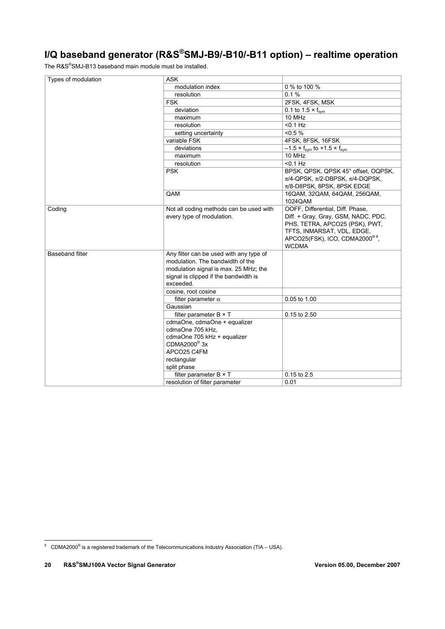# **I/Q baseband generator (R&S®SMJ-B9/-B10/-B11 option) – realtime operation**

The R&S® SMJ-B13 baseband main module must be installed.

| Types of modulation | <b>ASK</b>                              |                                                |
|---------------------|-----------------------------------------|------------------------------------------------|
|                     | modulation index                        | 0 % to 100 %                                   |
|                     | resolution                              | 0.1%                                           |
|                     | <b>FSK</b>                              | 2FSK, 4FSK, MSK                                |
|                     | deviation                               | 0.1 to 1.5 $\times$ f <sub>svm</sub>           |
|                     | maximum                                 | 10 MHz                                         |
|                     | resolution                              | $< 0.1$ Hz                                     |
|                     | setting uncertainty                     | $< 0.5 \%$                                     |
|                     | variable FSK                            | 4FSK, 8FSK, 16FSK                              |
|                     | deviations                              | $-1.5 \times f_{sym}$ to +1.5 $\times f_{sym}$ |
|                     | maximum                                 | 10 MHz                                         |
|                     | resolution                              | $< 0.1$ Hz                                     |
|                     | <b>PSK</b>                              | BPSK, QPSK, QPSK 45° offset, OQPSK,            |
|                     |                                         | $\pi$ /4-QPSK, $\pi$ /2-DBPSK, $\pi$ /4-DQPSK, |
|                     |                                         | $\pi$ /8-D8PSK, 8PSK, 8PSK EDGE                |
|                     | QAM                                     | 16QAM, 32QAM, 64QAM, 256QAM,                   |
|                     |                                         | 1024QAM                                        |
| Coding              | Not all coding methods can be used with | OOFF, Differential, Diff. Phase,               |
|                     | every type of modulation.               | Diff. + Gray, Gray, GSM, NADC, PDC,            |
|                     |                                         | PHS, TETRA, APCO25 (PSK), PWT,                 |
|                     |                                         | TFTS, INMARSAT, VDL, EDGE,                     |
|                     |                                         | APCO25(FSK), ICO, CDMA2000®8,                  |
|                     |                                         | <b>WCDMA</b>                                   |
| Baseband filter     | Any filter can be used with any type of |                                                |
|                     | modulation. The bandwidth of the        |                                                |
|                     | modulation signal is max. 25 MHz; the   |                                                |
|                     | signal is clipped if the bandwidth is   |                                                |
|                     | exceeded.                               |                                                |
|                     | cosine, root cosine                     |                                                |
|                     | filter parameter $\alpha$               | 0.05 to 1.00                                   |
|                     | Gaussian                                |                                                |
|                     | filter parameter $B \times T$           | 0.15 to 2.50                                   |
|                     | cdmaOne, cdmaOne + equalizer            |                                                |
|                     | cdmaOne 705 kHz,                        |                                                |
|                     | cdmaOne 705 kHz + equalizer             |                                                |
|                     | CDMA2000 <sup>®</sup> 3x                |                                                |
|                     | APCO25 C4FM                             |                                                |
|                     | rectangular                             |                                                |
|                     | split phase                             |                                                |
|                     | filter parameter B × T                  | 0.15 to 2.5                                    |
|                     | resolution of filter parameter          | 0.01                                           |

 8 CDMA2000® is a registered trademark of the Telecommunications Industry Association (TIA – USA).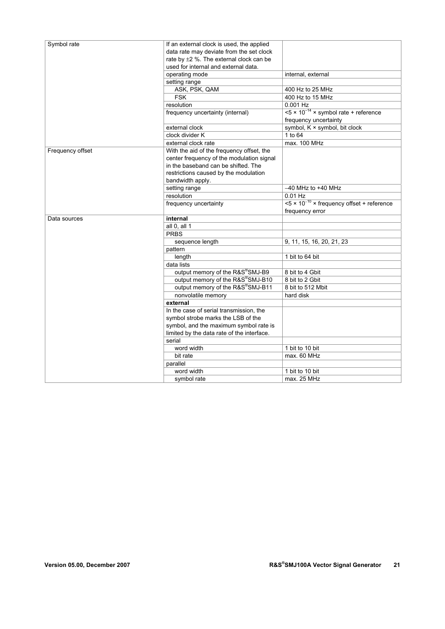| Symbol rate      | If an external clock is used, the applied    |                                                                             |
|------------------|----------------------------------------------|-----------------------------------------------------------------------------|
|                  | data rate may deviate from the set clock     |                                                                             |
|                  | rate by $\pm 2$ %. The external clock can be |                                                                             |
|                  | used for internal and external data.         |                                                                             |
|                  | operating mode                               | internal, external                                                          |
|                  | setting range                                |                                                                             |
|                  | ASK, PSK, QAM                                | 400 Hz to 25 MHz                                                            |
|                  | <b>FSK</b>                                   | 400 Hz to 15 MHz                                                            |
|                  | resolution                                   | $0.001$ Hz                                                                  |
|                  | frequency uncertainty (internal)             | $\leq 5 \times 10^{-14}$ × symbol rate + reference<br>frequency uncertainty |
|                  | external clock                               | symbol, K × symbol, bit clock                                               |
|                  | clock divider K                              | 1 to 64                                                                     |
|                  | external clock rate                          | max. 100 MHz                                                                |
| Frequency offset | With the aid of the frequency offset, the    |                                                                             |
|                  | center frequency of the modulation signal    |                                                                             |
|                  | in the baseband can be shifted. The          |                                                                             |
|                  | restrictions caused by the modulation        |                                                                             |
|                  | bandwidth apply.                             |                                                                             |
|                  | setting range                                | $-40$ MHz to $+40$ MHz                                                      |
|                  | resolution                                   | $0.01$ Hz                                                                   |
|                  | frequency uncertainty                        | $5 \times 10^{-10}$ × frequency offset + reference                          |
|                  |                                              | frequency error                                                             |
| Data sources     | internal                                     |                                                                             |
|                  | all 0, all 1                                 |                                                                             |
|                  | <b>PRBS</b>                                  |                                                                             |
|                  | sequence length                              | 9, 11, 15, 16, 20, 21, 23                                                   |
|                  | pattern                                      |                                                                             |
|                  | length                                       | 1 bit to 64 bit                                                             |
|                  | data lists                                   |                                                                             |
|                  | output memory of the R&S®SMJ-B9              | 8 bit to 4 Gbit                                                             |
|                  | output memory of the R&S®SMJ-B10             | 8 bit to 2 Gbit                                                             |
|                  | output memory of the R&S®SMJ-B11             | 8 bit to 512 Mbit                                                           |
|                  | nonvolatile memory                           | hard disk                                                                   |
|                  | external                                     |                                                                             |
|                  | In the case of serial transmission, the      |                                                                             |
|                  | symbol strobe marks the LSB of the           |                                                                             |
|                  | symbol, and the maximum symbol rate is       |                                                                             |
|                  | limited by the data rate of the interface.   |                                                                             |
|                  | serial                                       |                                                                             |
|                  | word width                                   | 1 bit to 10 bit                                                             |
|                  | bit rate                                     | max. 60 MHz                                                                 |
|                  | parallel                                     |                                                                             |
|                  | word width                                   | 1 bit to 10 bit                                                             |
|                  |                                              | max. 25 MHz                                                                 |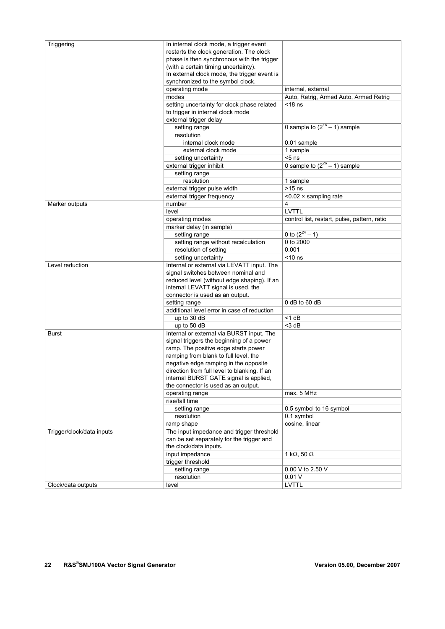| Triggering                | In internal clock mode, a trigger event<br>restarts the clock generation. The clock<br>phase is then synchronous with the trigger<br>(with a certain timing uncertainty).<br>In external clock mode, the trigger event is<br>synchronized to the symbol clock. |                                              |
|---------------------------|----------------------------------------------------------------------------------------------------------------------------------------------------------------------------------------------------------------------------------------------------------------|----------------------------------------------|
|                           | operating mode                                                                                                                                                                                                                                                 | internal, external                           |
|                           | modes                                                                                                                                                                                                                                                          | Auto, Retrig, Armed Auto, Armed Retrig       |
|                           | setting uncertainty for clock phase related                                                                                                                                                                                                                    | $<$ 18 ns                                    |
|                           | to trigger in internal clock mode                                                                                                                                                                                                                              |                                              |
|                           | external trigger delay                                                                                                                                                                                                                                         |                                              |
|                           | setting range                                                                                                                                                                                                                                                  | 0 sample to $(2^{16} – 1)$ sample            |
|                           | resolution                                                                                                                                                                                                                                                     |                                              |
|                           | internal clock mode                                                                                                                                                                                                                                            | 0.01 sample                                  |
|                           | external clock mode                                                                                                                                                                                                                                            | 1 sample                                     |
|                           | setting uncertainty                                                                                                                                                                                                                                            | $5$ ns                                       |
|                           | external trigger inhibit                                                                                                                                                                                                                                       | 0 sample to $(2^{26} – 1)$ sample            |
|                           | setting range                                                                                                                                                                                                                                                  |                                              |
|                           | resolution                                                                                                                                                                                                                                                     | 1 sample                                     |
|                           | external trigger pulse width                                                                                                                                                                                                                                   | $>15$ ns                                     |
|                           | external trigger frequency                                                                                                                                                                                                                                     | $< 0.02 \times$ sampling rate                |
| Marker outputs            | number                                                                                                                                                                                                                                                         | 4                                            |
|                           | level                                                                                                                                                                                                                                                          | <b>LVTTL</b>                                 |
|                           | operating modes                                                                                                                                                                                                                                                | control list, restart, pulse, pattern, ratio |
|                           | marker delay (in sample)                                                                                                                                                                                                                                       |                                              |
|                           | setting range                                                                                                                                                                                                                                                  | 0 to $(2^{24} - 1)$                          |
|                           | setting range without recalculation                                                                                                                                                                                                                            | 0 to 2000                                    |
|                           | resolution of setting                                                                                                                                                                                                                                          | 0.001                                        |
|                           | setting uncertainty                                                                                                                                                                                                                                            | $<$ 10 ns                                    |
| Level reduction           | Internal or external via LEVATT input. The                                                                                                                                                                                                                     |                                              |
|                           | signal switches between nominal and                                                                                                                                                                                                                            |                                              |
|                           | reduced level (without edge shaping). If an                                                                                                                                                                                                                    |                                              |
|                           | internal LEVATT signal is used, the                                                                                                                                                                                                                            |                                              |
|                           | connector is used as an output.                                                                                                                                                                                                                                |                                              |
|                           | setting range                                                                                                                                                                                                                                                  | $0$ dB to 60 dB                              |
|                           | additional level error in case of reduction                                                                                                                                                                                                                    |                                              |
|                           | up to 30 dB                                                                                                                                                                                                                                                    | $<$ 1 dB                                     |
|                           | up to 50 dB                                                                                                                                                                                                                                                    | $<$ 3 dB                                     |
| Burst                     | Internal or external via BURST input. The                                                                                                                                                                                                                      |                                              |
|                           | signal triggers the beginning of a power                                                                                                                                                                                                                       |                                              |
|                           | ramp. The positive edge starts power                                                                                                                                                                                                                           |                                              |
|                           | ramping from blank to full level, the                                                                                                                                                                                                                          |                                              |
|                           | negative edge ramping in the opposite                                                                                                                                                                                                                          |                                              |
|                           | direction from full level to blanking. If an                                                                                                                                                                                                                   |                                              |
|                           | internal BURST GATE signal is applied,                                                                                                                                                                                                                         |                                              |
|                           | the connector is used as an output.                                                                                                                                                                                                                            |                                              |
|                           | operating range                                                                                                                                                                                                                                                | max. 5 MHz                                   |
|                           | rise/fall time                                                                                                                                                                                                                                                 |                                              |
|                           | setting range                                                                                                                                                                                                                                                  | 0.5 symbol to 16 symbol                      |
|                           | resolution                                                                                                                                                                                                                                                     | 0.1 symbol                                   |
|                           | ramp shape                                                                                                                                                                                                                                                     | cosine, linear                               |
| Trigger/clock/data inputs | The input impedance and trigger threshold                                                                                                                                                                                                                      |                                              |
|                           | can be set separately for the trigger and                                                                                                                                                                                                                      |                                              |
|                           | the clock/data inputs.                                                                                                                                                                                                                                         |                                              |
|                           | input impedance                                                                                                                                                                                                                                                | 1 k $\Omega$ , 50 $\Omega$                   |
|                           | trigger threshold                                                                                                                                                                                                                                              |                                              |
|                           | setting range                                                                                                                                                                                                                                                  | 0.00 V to 2.50 V                             |
|                           | resolution                                                                                                                                                                                                                                                     | 0.01V                                        |
| Clock/data outputs        | level                                                                                                                                                                                                                                                          | LVTTL                                        |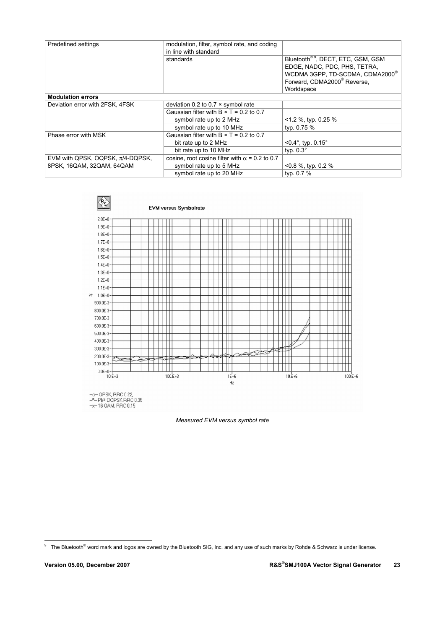| Predefined settings                   | modulation, filter, symbol rate, and coding<br>in line with standard |                                                                                                                                                                         |
|---------------------------------------|----------------------------------------------------------------------|-------------------------------------------------------------------------------------------------------------------------------------------------------------------------|
|                                       | standards                                                            | Bluetooth <sup>®9</sup> , DECT, ETC, GSM, GSM<br>EDGE, NADC, PDC, PHS, TETRA,<br>WCDMA 3GPP, TD-SCDMA, CDMA2000 <sup>®</sup><br>Forward, CDMA2000 <sup>®</sup> Reverse, |
| <b>Modulation errors</b>              |                                                                      | Worldspace                                                                                                                                                              |
| Deviation error with 2FSK, 4FSK       | deviation 0.2 to 0.7 $\times$ symbol rate                            |                                                                                                                                                                         |
|                                       | Gaussian filter with $B \times T = 0.2$ to 0.7                       |                                                                                                                                                                         |
|                                       | symbol rate up to 2 MHz                                              | $<$ 1.2 %, typ. 0.25 %                                                                                                                                                  |
|                                       | symbol rate up to 10 MHz                                             | typ. 0.75 %                                                                                                                                                             |
| Phase error with MSK                  | Gaussian filter with $B \times T = 0.2$ to 0.7                       |                                                                                                                                                                         |
|                                       | bit rate up to 2 MHz                                                 | $< 0.4^{\circ}$ , typ. $0.15^{\circ}$                                                                                                                                   |
|                                       | bit rate up to 10 MHz                                                | typ. $0.3^\circ$                                                                                                                                                        |
| EVM with QPSK, OQPSK, $\pi/4$ -DQPSK, | cosine, root cosine filter with $\alpha$ = 0.2 to 0.7                |                                                                                                                                                                         |
| 8PSK, 16QAM, 32QAM, 64QAM             | symbol rate up to 5 MHz                                              | $< 0.8$ %, typ. 0.2 %                                                                                                                                                   |
|                                       | symbol rate up to 20 MHz                                             | typ. 0.7 %                                                                                                                                                              |



*Measured EVM versus symbol rate* 

 9 The Bluetooth® word mark and logos are owned by the Bluetooth SIG, Inc. and any use of such marks by Rohde & Schwarz is under license.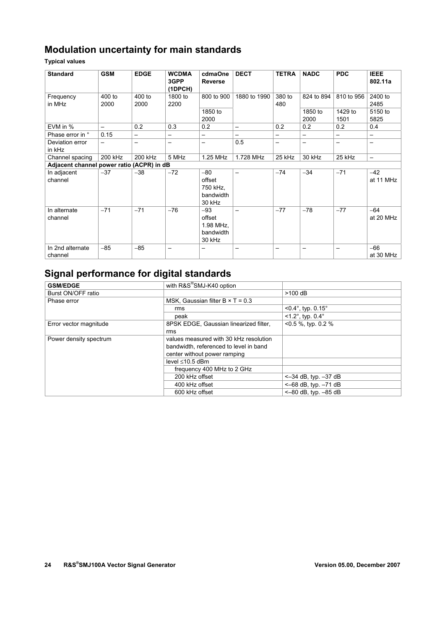## **Modulation uncertainty for main standards**

**Typical values** 

| <b>Standard</b>                           | <b>GSM</b>               | <b>EDGE</b>              | <b>WCDMA</b><br>3GPP<br>(1DPCH) | cdmaOne<br><b>Reverse</b>                           | <b>DECT</b>              | <b>TETRA</b>             | <b>NADC</b>     | <b>PDC</b>      | <b>IEEE</b><br>802.11a |
|-------------------------------------------|--------------------------|--------------------------|---------------------------------|-----------------------------------------------------|--------------------------|--------------------------|-----------------|-----------------|------------------------|
| Frequency<br>in MHz                       | 400 to<br>2000           | 400 to<br>2000           | 1800 to<br>2200                 | 800 to 900                                          | 1880 to 1990             | 380 to<br>480            | 824 to 894      | 810 to 956      | 2400 to<br>2485        |
|                                           |                          |                          |                                 | 1850 to<br>2000                                     |                          |                          | 1850 to<br>2000 | 1429 to<br>1501 | 5150 to<br>5825        |
| EVM in %                                  | $\overline{\phantom{0}}$ | 0.2                      | 0.3                             | 0.2                                                 | $\overline{\phantom{0}}$ | 0.2                      | 0.2             | 0.2             | 0.4                    |
| Phase error in °                          | 0.15                     | $\overline{\phantom{0}}$ | —                               | —                                                   |                          | $\overline{\phantom{0}}$ | —               | —               |                        |
| Deviation error<br>in kHz                 |                          | -                        | —                               | —                                                   | 0.5                      |                          | —               | -               | $\qquad \qquad$        |
| Channel spacing                           | 200 kHz                  | 200 kHz                  | 5 MHz                           | 1.25 MHz                                            | 1.728 MHz                | 25 kHz                   | 30 kHz          | 25 kHz          |                        |
| Adjacent channel power ratio (ACPR) in dB |                          |                          |                                 |                                                     |                          |                          |                 |                 |                        |
| In adjacent<br>channel                    | $-37$                    | $-38$                    | $-72$                           | $-80$<br>offset<br>750 kHz,<br>bandwidth<br>30 kHz  | $\overline{\phantom{0}}$ | $-74$                    | $-34$           | $-71$           | $-42$<br>at 11 MHz     |
| In alternate<br>channel                   | $-71$                    | $-71$                    | $-76$                           | $-93$<br>offset<br>1.98 MHz,<br>bandwidth<br>30 kHz | —                        | $-77$                    | $-78$           | $-77$           | $-64$<br>at 20 MHz     |
| In 2nd alternate<br>channel               | $-85$                    | $-85$                    | $\qquad \qquad$                 | $\qquad \qquad$                                     | —                        | $\overline{\phantom{0}}$ | —               | —               | $-66$<br>at 30 MHz     |

## **Signal performance for digital standards**

| <b>GSM/EDGE</b>        | with R&S®SMJ-K40 option                 |                              |
|------------------------|-----------------------------------------|------------------------------|
| Burst ON/OFF ratio     |                                         | $>100$ dB                    |
| Phase error            | MSK, Gaussian filter $B \times T = 0.3$ |                              |
|                        | rms                                     | $< 0.4^{\circ}$ , typ. 0.15° |
|                        | peak                                    | $< 1.2^{\circ}$ , typ. 0.4°  |
| Error vector magnitude | 8PSK EDGE, Gaussian linearized filter,  | <0.5 %, typ. 0.2 %           |
|                        | rms                                     |                              |
| Power density spectrum | values measured with 30 kHz resolution  |                              |
|                        | bandwidth, referenced to level in band  |                              |
|                        | center without power ramping            |                              |
|                        | level $\leq 10.5$ dBm                   |                              |
|                        | frequency 400 MHz to 2 GHz              |                              |
|                        | 200 kHz offset                          | $<-34$ dB, typ. $-37$ dB     |
|                        | 400 kHz offset                          | $<-68$ dB, typ. $-71$ dB     |
|                        | 600 kHz offset                          | $<-80$ dB, typ. $-85$ dB     |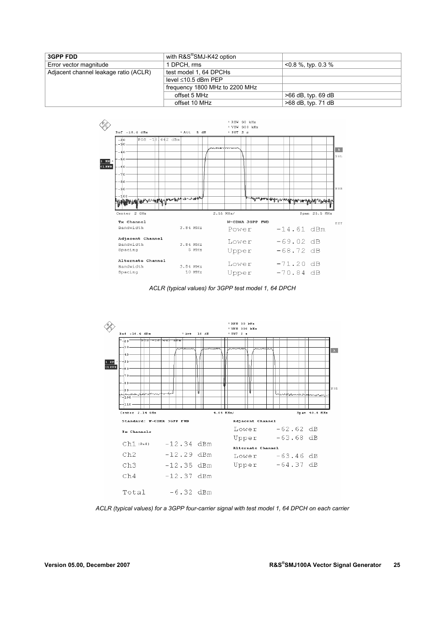| <b>3GPP FDD</b>                       | with R&S <sup>®</sup> SMJ-K42 option |                       |
|---------------------------------------|--------------------------------------|-----------------------|
| Error vector magnitude                | 1 DPCH, rms                          | $<$ 0.8 %, typ. 0.3 % |
| Adjacent channel leakage ratio (ACLR) | test model 1, 64 DPCHs               |                       |
|                                       | level $\leq 10.5$ dBm PEP            |                       |
|                                       | frequency 1800 MHz to 2200 MHz       |                       |
|                                       | offset 5 MHz                         | $>66$ dB, typ. 69 dB  |
|                                       | offset 10 MHz                        | >68 dB, typ. 71 dB    |



*ACLR (typical values) for 3GPP test model 1, 64 DPCH* 



*ACLR (typical values) for a 3GPP four-carrier signal with test model 1, 64 DPCH on each carrier*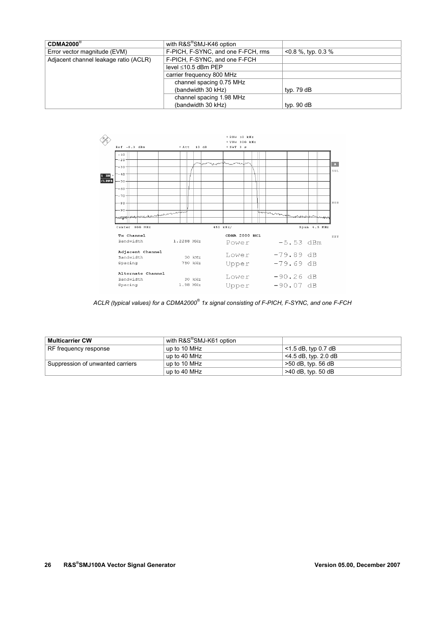| $CDMA2000^{\circ}$                    | with R&S®SMJ-K46 option            |                       |
|---------------------------------------|------------------------------------|-----------------------|
| Error vector magnitude (EVM)          | F-PICH, F-SYNC, and one F-FCH, rms | $<$ 0.8 %, typ. 0.3 % |
| Adjacent channel leakage ratio (ACLR) | F-PICH, F-SYNC, and one F-FCH      |                       |
|                                       | level ≤10.5 dBm PEP                |                       |
|                                       | carrier frequency 800 MHz          |                       |
|                                       | channel spacing 0.75 MHz           |                       |
|                                       | (bandwidth 30 kHz)                 | typ. $79dB$           |
|                                       | channel spacing 1.98 MHz           |                       |
|                                       | (bandwidth 30 kHz)                 | typ. $90$ dB          |



*ACLR (typical values) for a CDMA2000® 1x signal consisting of F-PICH, F-SYNC, and one F-FCH* 

| <b>Multicarrier CW</b>           | with R&S <sup>®</sup> SMJ-K61 option |                         |
|----------------------------------|--------------------------------------|-------------------------|
| RF frequency response            | up to 10 MHz                         | $<$ 1.5 dB, typ 0.7 dB  |
|                                  | up to 40 MHz                         | $<$ 4.5 dB, typ. 2.0 dB |
| Suppression of unwanted carriers | up to 10 MHz                         | >50 dB, typ. 56 dB      |
|                                  | up to 40 MHz                         | $>40$ dB, typ. 50 dB    |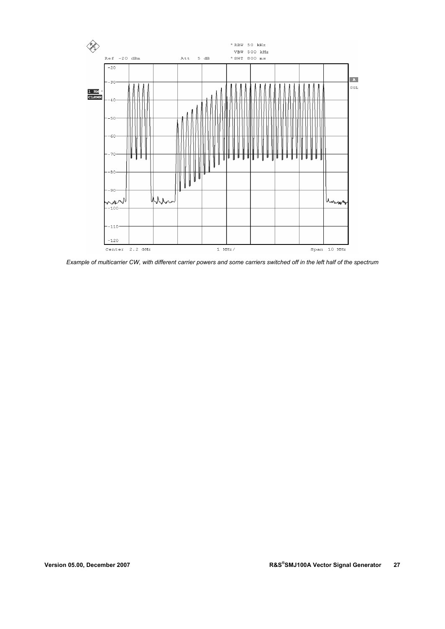

*Example of multicarrier CW, with different carrier powers and some carriers switched off in the left half of the spectrum*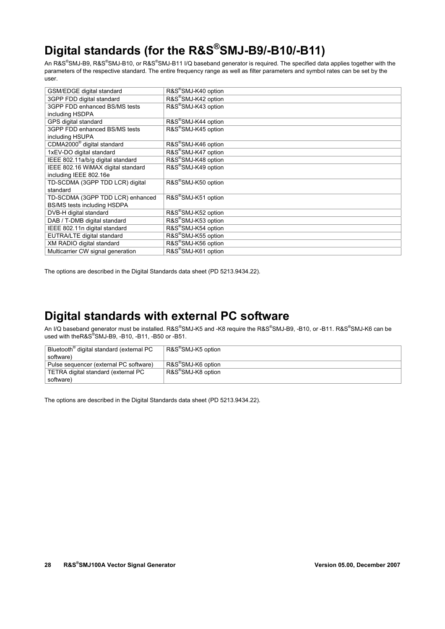# **Digital standards (for the R&S®SMJ-B9/-B10/-B11)**

An R&S®SMJ-B9, R&S®SMJ-B10, or R&S®SMJ-B11 I/Q baseband generator is required. The specified data applies together with the parameters of the respective standard. The entire frequency range as well as filter parameters and symbol rates can be set by the user.

| GSM/EDGE digital standard              | R&S®SMJ-K40 option              |
|----------------------------------------|---------------------------------|
| 3GPP FDD digital standard              | R&S®SMJ-K42 option              |
| 3GPP FDD enhanced BS/MS tests          | R&S®SMJ-K43 option              |
| including HSDPA                        |                                 |
| GPS digital standard                   | R&S®SMJ-K44 option              |
| 3GPP FDD enhanced BS/MS tests          | R&S <sup>®</sup> SMJ-K45 option |
| including HSUPA                        |                                 |
| CDMA2000 <sup>®</sup> digital standard | R&S®SMJ-K46 option              |
| 1xEV-DO digital standard               | R&S®SMJ-K47 option              |
| IEEE 802.11a/b/g digital standard      | R&S®SMJ-K48 option              |
| IEEE 802.16 WiMAX digital standard     | R&S®SMJ-K49 option              |
| including IEEE 802.16e                 |                                 |
| TD-SCDMA (3GPP TDD LCR) digital        | R&S®SMJ-K50 option              |
| standard                               |                                 |
| TD-SCDMA (3GPP TDD LCR) enhanced       | R&S <sup>®</sup> SMJ-K51 option |
| BS/MS tests including HSDPA            |                                 |
| DVB-H digital standard                 | R&S®SMJ-K52 option              |
| DAB / T-DMB digital standard           | R&S®SMJ-K53 option              |
| IEEE 802.11n digital standard          | R&S®SMJ-K54 option              |
| EUTRA/LTE digital standard             | R&S®SMJ-K55 option              |
| XM RADIO digital standard              | R&S®SMJ-K56 option              |
| Multicarrier CW signal generation      | R&S®SMJ-K61 option              |

The options are described in the Digital Standards data sheet (PD 5213.9434.22).

# **Digital standards with external PC software**

An I/Q baseband generator must be installed. R&S®SMJ-K5 and -K8 require the R&S®SMJ-B9, -B10, or -B11. R&S®SMJ-K6 can be used with theR&S® SMJ-B9, -B10, -B11, -B50 or -B51.

| Bluetooth <sup>®</sup> digital standard (external PC | R&S <sup>®</sup> SMJ-K5 option |
|------------------------------------------------------|--------------------------------|
| software)                                            |                                |
| Pulse sequencer (external PC software)               | R&S <sup>®</sup> SMJ-K6 option |
| TETRA digital standard (external PC                  | R&S <sup>®</sup> SMJ-K8 option |
| software)                                            |                                |

The options are described in the Digital Standards data sheet (PD 5213.9434.22).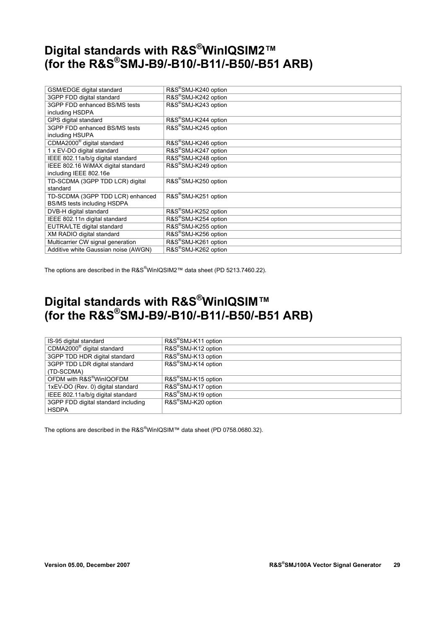# **Digital standards with R&S®WinIQSIM2™ (for the R&S®SMJ-B9/-B10/-B11/-B50/-B51 ARB)**

| GSM/EDGE digital standard              | R&S®SMJ-K240 option              |
|----------------------------------------|----------------------------------|
| 3GPP FDD digital standard              | R&S®SMJ-K242 option              |
| 3GPP FDD enhanced BS/MS tests          | R&S®SMJ-K243 option              |
| including HSDPA                        |                                  |
| GPS digital standard                   | R&S®SMJ-K244 option              |
| 3GPP FDD enhanced BS/MS tests          | R&S®SMJ-K245 option              |
| including HSUPA                        |                                  |
| CDMA2000 <sup>®</sup> digital standard | R&S®SMJ-K246 option              |
| 1 x EV-DO digital standard             | R&S <sup>®</sup> SMJ-K247 option |
| IEEE 802.11a/b/g digital standard      | R&S®SMJ-K248 option              |
| IEEE 802.16 WiMAX digital standard     | R&S®SMJ-K249 option              |
| including IEEE 802.16e                 |                                  |
| TD-SCDMA (3GPP TDD LCR) digital        | R&S®SMJ-K250 option              |
| standard                               |                                  |
| TD-SCDMA (3GPP TDD LCR) enhanced       | R&S <sup>®</sup> SMJ-K251 option |
| BS/MS tests including HSDPA            |                                  |
| DVB-H digital standard                 | R&S®SMJ-K252 option              |
| IEEE 802.11n digital standard          | R&S®SMJ-K254 option              |
| EUTRA/LTE digital standard             | R&S®SMJ-K255 option              |
| XM RADIO digital standard              | R&S®SMJ-K256 option              |
| Multicarrier CW signal generation      | R&S®SMJ-K261 option              |
| Additive white Gaussian noise (AWGN)   | R&S®SMJ-K262 option              |

The options are described in the R&S<sup>®</sup>WinIQSIM2™ data sheet (PD 5213.7460.22).

# **Digital standards with R&S®WinIQSIM™ (for the R&S®SMJ-B9/-B10/-B11/-B50/-B51 ARB)**

| IS-95 digital standard                 | R&S <sup>®</sup> SMJ-K11 option |
|----------------------------------------|---------------------------------|
| CDMA2000 <sup>®</sup> digital standard | R&S <sup>®</sup> SMJ-K12 option |
| 3GPP TDD HDR digital standard          | R&S®SMJ-K13 option              |
| 3GPP TDD LDR digital standard          | R&S®SMJ-K14 option              |
| (TD-SCDMA)                             |                                 |
| OFDM with R&S <sup>®</sup> WinIQOFDM   | R&S®SMJ-K15 option              |
| 1xEV-DO (Rev. 0) digital standard      | R&S®SMJ-K17 option              |
| IEEE 802.11a/b/g digital standard      | R&S®SMJ-K19 option              |
| 3GPP FDD digital standard including    | R&S®SMJ-K20 option              |
| <b>HSDPA</b>                           |                                 |

The options are described in the R&S<sup>®</sup>WinIQSIM™ data sheet (PD 0758.0680.32).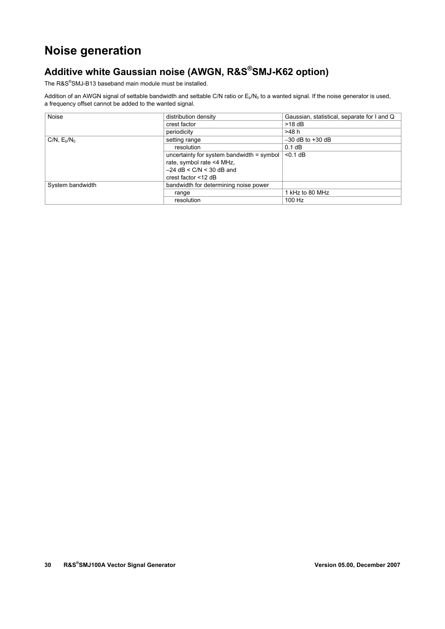# **Noise generation**

# **Additive white Gaussian noise (AWGN, R&S®SMJ-K62 option)**

The R&S® SMJ-B13 baseband main module must be installed.

Addition of an AWGN signal of settable bandwidth and settable C/N ratio or  $E_b/N_0$  to a wanted signal. If the noise generator is used, a frequency offset cannot be added to the wanted signal.

| Noise                              | distribution density                      | Gaussian, statistical, separate for I and Q |
|------------------------------------|-------------------------------------------|---------------------------------------------|
|                                    | crest factor                              | $>18$ dB                                    |
|                                    | periodicity                               | >48 h                                       |
| CN, E <sub>b</sub> /N <sub>0</sub> | setting range                             | $-30$ dB to $+30$ dB                        |
|                                    | resolution                                | $0.1$ dB                                    |
|                                    | uncertainty for system bandwidth = symbol | $< 0.1$ dB                                  |
|                                    | rate, symbol rate <4 MHz,                 |                                             |
|                                    | $-24$ dB < C/N < 30 dB and                |                                             |
|                                    | crest factor <12 dB                       |                                             |
| System bandwidth                   | bandwidth for determining noise power     |                                             |
|                                    | range                                     | 1 kHz to 80 MHz                             |
|                                    | resolution                                | 100 Hz                                      |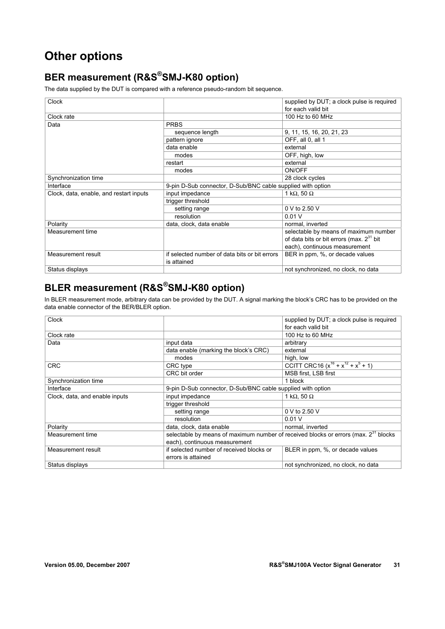# **Other options**

# **BER measurement (R&S®SMJ-K80 option)**

The data supplied by the DUT is compared with a reference pseudo-random bit sequence.

| Clock                                   |                                                              | supplied by DUT; a clock pulse is required           |
|-----------------------------------------|--------------------------------------------------------------|------------------------------------------------------|
|                                         |                                                              | for each valid bit                                   |
| Clock rate                              |                                                              | 100 Hz to 60 MHz                                     |
| Data                                    | <b>PRBS</b>                                                  |                                                      |
|                                         | sequence length                                              | 9, 11, 15, 16, 20, 21, 23                            |
|                                         | pattern ignore                                               | OFF, all 0, all 1                                    |
|                                         | data enable                                                  | external                                             |
|                                         | modes                                                        | OFF, high, low                                       |
|                                         | restart                                                      | external                                             |
|                                         | modes                                                        | ON/OFF                                               |
| Synchronization time                    |                                                              | 28 clock cycles                                      |
| Interface                               | 9-pin D-Sub connector, D-Sub/BNC cable supplied with option  |                                                      |
| Clock, data, enable, and restart inputs | input impedance                                              | 1 k $\Omega$ , 50 $\Omega$                           |
|                                         | trigger threshold                                            |                                                      |
|                                         | setting range                                                | 0 V to 2.50 V                                        |
|                                         | resolution                                                   | 0.01V                                                |
| Polarity                                | data, clock, data enable                                     | normal, inverted                                     |
| Measurement time                        |                                                              | selectable by means of maximum number                |
|                                         |                                                              | of data bits or bit errors (max. 2 <sup>31</sup> bit |
|                                         |                                                              | each), continuous measurement                        |
| Measurement result                      | if selected number of data bits or bit errors<br>is attained | BER in ppm, %, or decade values                      |
| Status displays                         |                                                              | not synchronized, no clock, no data                  |

# **BLER measurement (R&S®SMJ-K80 option)**

In BLER measurement mode, arbitrary data can be provided by the DUT. A signal marking the block's CRC has to be provided on the data enable connector of the BER/BLER option.

| Clock                          |                                                                                          | supplied by DUT; a clock pulse is required<br>for each valid bit |
|--------------------------------|------------------------------------------------------------------------------------------|------------------------------------------------------------------|
| Clock rate                     |                                                                                          | 100 Hz to 60 MHz                                                 |
| Data                           | input data                                                                               | arbitrary                                                        |
|                                | data enable (marking the block's CRC)                                                    | external                                                         |
|                                | modes                                                                                    | high, low                                                        |
| <b>CRC</b>                     | CRC type                                                                                 | CCITT CRC16 $(x^{16} + x^{12} + x^5 + 1)$                        |
|                                | CRC bit order                                                                            | MSB first, LSB first                                             |
| Synchronization time           |                                                                                          | 1 block                                                          |
| Interface                      | 9-pin D-Sub connector, D-Sub/BNC cable supplied with option                              |                                                                  |
| Clock, data, and enable inputs | input impedance                                                                          | 1 k $\Omega$ , 50 $\Omega$                                       |
|                                | trigger threshold                                                                        |                                                                  |
|                                | setting range                                                                            | 0 V to 2.50 V                                                    |
|                                | resolution                                                                               | 0.01V                                                            |
| Polarity                       | data, clock, data enable                                                                 | normal, inverted                                                 |
| Measurement time               | selectable by means of maximum number of received blocks or errors (max. $2^{31}$ blocks |                                                                  |
|                                | each), continuous measurement                                                            |                                                                  |
| Measurement result             | if selected number of received blocks or                                                 | BLER in ppm, %, or decade values                                 |
|                                | errors is attained                                                                       |                                                                  |
| Status displays                |                                                                                          | not synchronized, no clock, no data                              |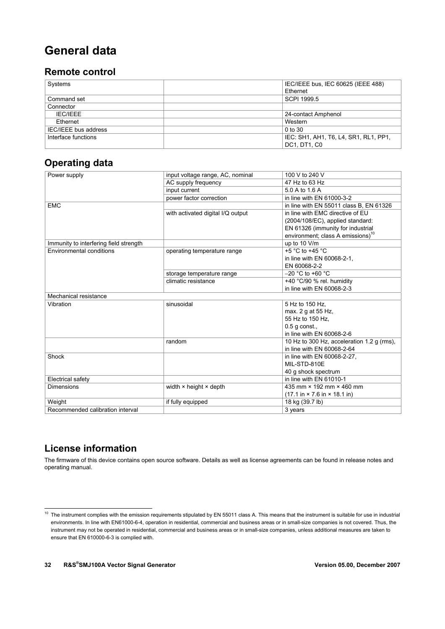# **General data**

#### **Remote control**

| Systems              | IEC/IEEE bus, IEC 60625 (IEEE 488)    |
|----------------------|---------------------------------------|
|                      | Ethernet                              |
| Command set          | SCPI 1999.5                           |
| Connector            |                                       |
| <b>IEC/IEEE</b>      | 24-contact Amphenol                   |
| Ethernet             | Western                               |
| IEC/IEEE bus address | $0$ to $30$                           |
| Interface functions  | IEC: SH1, AH1, T6, L4, SR1, RL1, PP1, |
|                      | DC1, DT1, C0                          |

#### **Operating data**

| Power supply                           | input voltage range, AC, nominal     | 100 V to 240 V                                                   |
|----------------------------------------|--------------------------------------|------------------------------------------------------------------|
|                                        | AC supply frequency                  | 47 Hz to 63 Hz                                                   |
|                                        | input current                        | 5.0 A to 1.6 A                                                   |
|                                        | power factor correction              | in line with EN 61000-3-2                                        |
| <b>EMC</b>                             |                                      | in line with EN 55011 class B, EN 61326                          |
|                                        | with activated digital I/Q output    | in line with EMC directive of EU                                 |
|                                        |                                      | (2004/108/EC), applied standard:                                 |
|                                        |                                      | EN 61326 (immunity for industrial                                |
|                                        |                                      | environment; class A emissions) <sup>10</sup>                    |
| Immunity to interfering field strength |                                      | up to 10 V/m                                                     |
| Environmental conditions               | operating temperature range          | +5 $^{\circ}$ C to +45 $^{\circ}$ C                              |
|                                        |                                      | in line with EN 60068-2-1,                                       |
|                                        |                                      | EN 60068-2-2                                                     |
|                                        | storage temperature range            | $-20$ °C to +60 °C                                               |
|                                        | climatic resistance                  | +40 °C/90 % rel. humidity                                        |
|                                        |                                      | in line with EN 60068-2-3                                        |
| Mechanical resistance                  |                                      |                                                                  |
| Vibration                              | sinusoidal                           | 5 Hz to 150 Hz,                                                  |
|                                        |                                      | max. 2 g at 55 Hz,                                               |
|                                        |                                      | 55 Hz to 150 Hz.                                                 |
|                                        |                                      | $0.5$ q const.                                                   |
|                                        |                                      | in line with EN 60068-2-6                                        |
|                                        | random                               | 10 Hz to 300 Hz, acceleration 1.2 g (rms),                       |
|                                        |                                      | in line with EN 60068-2-64                                       |
| Shock                                  |                                      | in line with EN 60068-2-27,                                      |
|                                        |                                      | MIL-STD-810E                                                     |
|                                        |                                      | 40 g shock spectrum                                              |
| Electrical safety                      |                                      | in line with EN 61010-1                                          |
| <b>Dimensions</b>                      | width $\times$ height $\times$ depth | 435 mm × 192 mm × 460 mm                                         |
|                                        |                                      | $(17.1 \text{ in} \times 7.6 \text{ in} \times 18.1 \text{ in})$ |
| Weight                                 | if fully equipped                    | 18 kg (39.7 lb)                                                  |
| Recommended calibration interval       |                                      | 3 years                                                          |

#### **License information**

-

The firmware of this device contains open source software. Details as well as license agreements can be found in release notes and operating manual.

 $10$  The instrument complies with the emission requirements stipulated by EN 55011 class A. This means that the instrument is suitable for use in industrial environments. In line with EN61000-6-4, operation in residential, commercial and business areas or in small-size companies is not covered. Thus, the instrument may not be operated in residential, commercial and business areas or in small-size companies, unless additional measures are taken to ensure that EN 610000-6-3 is complied with.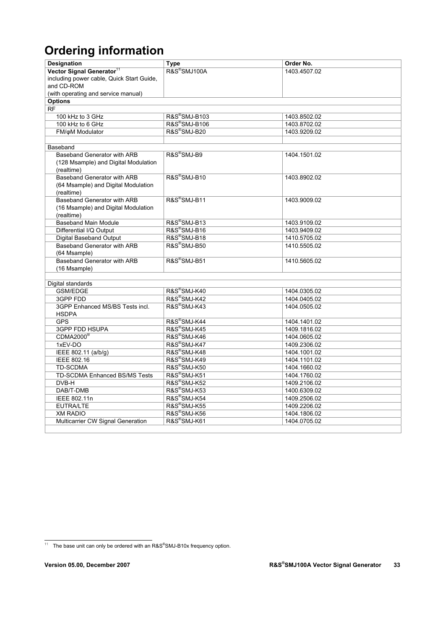# **Ordering information**

| Designation                                            | <b>Type</b>              | Order No.                    |
|--------------------------------------------------------|--------------------------|------------------------------|
| Vector Signal Generator <sup>11</sup>                  | R&S®SMJ100A              | 1403.4507.02                 |
| including power cable, Quick Start Guide,              |                          |                              |
| and CD-ROM                                             |                          |                              |
| (with operating and service manual)                    |                          |                              |
| <b>Options</b>                                         |                          |                              |
| <b>RF</b>                                              |                          |                              |
| 100 kHz to 3 GHz                                       | R&S®SMJ-B103             | 1403.8502.02                 |
| 100 kHz to 6 GHz                                       | R&S®SMJ-B106             | 1403.8702.02                 |
| FM/oM Modulator                                        | R&S <sup>®</sup> SMJ-B20 | 1403.9209.02                 |
|                                                        |                          |                              |
| Baseband                                               |                          |                              |
| Baseband Generator with ARB                            | R&S®SMJ-B9               | 1404.1501.02                 |
| (128 Msample) and Digital Modulation                   |                          |                              |
| (realtime)                                             |                          |                              |
| Baseband Generator with ARB                            | R&S <sup>®</sup> SMJ-B10 | 1403.8902.02                 |
| (64 Msample) and Digital Modulation                    |                          |                              |
| (realtime)                                             | R&S <sup>®</sup> SMJ-B11 |                              |
| Baseband Generator with ARB                            |                          | 1403.9009.02                 |
| (16 Msample) and Digital Modulation                    |                          |                              |
| (realtime)<br><b>Baseband Main Module</b>              | R&S <sup>®</sup> SMJ-B13 |                              |
|                                                        | R&S®SMJ-B16              | 1403.9109.02<br>1403.9409.02 |
| Differential I/Q Output                                | R&S <sup>®</sup> SMJ-B18 |                              |
| Digital Baseband Output<br>Baseband Generator with ARB | R&S <sup>®</sup> SMJ-B50 | 1410.5705.02<br>1410.5505.02 |
| (64 Msample)                                           |                          |                              |
| Baseband Generator with ARB                            | R&S®SMJ-B51              | 1410.5605.02                 |
| (16 Msample)                                           |                          |                              |
|                                                        |                          |                              |
| Digital standards                                      |                          |                              |
| <b>GSM/EDGE</b>                                        | R&S®SMJ-K40              | 1404.0305.02                 |
| 3GPP FDD                                               | R&S <sup>®</sup> SMJ-K42 | 1404.0405.02                 |
| 3GPP Enhanced MS/BS Tests incl.                        | R&S®SMJ-K43              | 1404.0505.02                 |
| <b>HSDPA</b>                                           |                          |                              |
| <b>GPS</b>                                             | R&S <sup>®</sup> SMJ-K44 | 1404.1401.02                 |
| <b>3GPP FDD HSUPA</b>                                  | R&S <sup>®</sup> SMJ-K45 | 1409.1816.02                 |
| CDMA2000 <sup>®</sup>                                  | R&S <sup>®</sup> SMJ-K46 | 1404.0605.02                 |
| 1xEV-DO                                                | R&S®SMJ-K47              | 1409.2306.02                 |
| IEEE 802.11 (a/b/g)                                    | R&S <sup>®</sup> SMJ-K48 | 1404.1001.02                 |
| <b>IEEE 802.16</b>                                     | R&S®SMJ-K49              | 1404.1101.02                 |
| <b>TD-SCDMA</b>                                        | R&S®SMJ-K50              | 1404.1660.02                 |
| TD-SCDMA Enhanced BS/MS Tests                          | R&S®SMJ-K51              | 1404.1760.02                 |
| DVB-H                                                  | R&S®SMJ-K52              | 1409.2106.02                 |
| DAB/T-DMB                                              | R&S®SMJ-K53              | 1400.6309.02                 |
| IEEE 802.11n                                           | R&S®SMJ-K54              | 1409.2506.02                 |
| <b>EUTRA/LTE</b>                                       | R&S <sup>®</sup> SMJ-K55 | 1409.2206.02                 |
| <b>XM RADIO</b>                                        | R&S®SMJ-K56              | 1404.1806.02                 |
| Multicarrier CW Signal Generation                      | R&S®SMJ-K61              | 1404.0705.02                 |
|                                                        |                          |                              |

 <sup>11</sup> The base unit can only be ordered with an R&S® SMJ-B10x frequency option.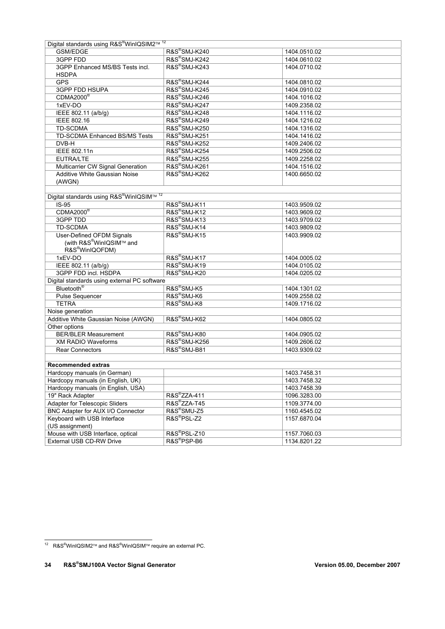| Digital standards using R&S®WinIQSIM2™ <sup>12</sup>             |                           |              |  |
|------------------------------------------------------------------|---------------------------|--------------|--|
| <b>GSM/EDGE</b>                                                  | R&S®SMJ-K240              | 1404.0510.02 |  |
| 3GPP FDD                                                         | R&S <sup>®</sup> SMJ-K242 | 1404.0610.02 |  |
| 3GPP Enhanced MS/BS Tests incl.                                  | R&S®SMJ-K243              | 1404.0710.02 |  |
| <b>HSDPA</b>                                                     |                           |              |  |
| <b>GPS</b>                                                       | R&S <sup>®</sup> SMJ-K244 | 1404.0810.02 |  |
| 3GPP FDD HSUPA                                                   | R&S <sup>®</sup> SMJ-K245 | 1404.0910.02 |  |
| CDMA2000 <sup>®</sup>                                            | R&S®SMJ-K246              | 1404.1016.02 |  |
| 1xEV-DO                                                          | R&S®SMJ-K247              | 1409.2358.02 |  |
| IEEE 802.11 (a/b/g)                                              | R&S®SMJ-K248              | 1404.1116.02 |  |
| IEEE 802.16                                                      | R&S®SMJ-K249              | 1404.1216.02 |  |
| <b>TD-SCDMA</b>                                                  | <b>R&amp;S®SMJ-K250</b>   | 1404.1316.02 |  |
| TD-SCDMA Enhanced BS/MS Tests                                    | R&S®SMJ-K251              | 1404.1416.02 |  |
| DVB-H                                                            | R&S®SMJ-K252              | 1409.2406.02 |  |
| IEEE 802.11n                                                     | R&S®SMJ-K254              | 1409.2506.02 |  |
| EUTRA/LTE                                                        | R&S®SMJ-K255              | 1409.2258.02 |  |
| Multicarrier CW Signal Generation                                | R&S®SMJ-K261              | 1404.1516.02 |  |
| Additive White Gaussian Noise                                    | R&S®SMJ-K262              | 1400.6650.02 |  |
| (AWGN)                                                           |                           |              |  |
|                                                                  |                           |              |  |
| Digital standards using R&S <sup>®</sup> WinIQSIM™ <sup>12</sup> |                           |              |  |
| $IS-95$                                                          | R&S®SMJ-K11               | 1403.9509.02 |  |
| CDMA2000®                                                        | R&S <sup>®</sup> SMJ-K12  | 1403.9609.02 |  |
| 3GPP TDD                                                         | R&S <sup>®</sup> SMJ-K13  | 1403.9709.02 |  |
| TD-SCDMA                                                         | R&S®SMJ-K14               | 1403.9809.02 |  |
| User-Defined OFDM Signals                                        | R&S®SMJ-K15               | 1403.9909.02 |  |
| (with R&S®WinIQSIM™ and                                          |                           |              |  |
| R&S <sup>®</sup> WinIQOFDM)                                      |                           |              |  |
| 1xEV-DO                                                          | R&S®SMJ-K17               | 1404.0005.02 |  |
| IEEE 802.11 (a/b/g)                                              | R&S®SMJ-K19               | 1404.0105.02 |  |
| 3GPP FDD incl. HSDPA                                             | R&S®SMJ-K20               | 1404.0205.02 |  |
| Digital standards using external PC software                     |                           |              |  |
| Bluetooth <sup>®</sup>                                           | R&S <sup>®</sup> SMJ-K5   | 1404.1301.02 |  |
| <b>Pulse Sequencer</b>                                           | R&S <sup>®</sup> SMJ-K6   | 1409.2558.02 |  |
| <b>TETRA</b>                                                     | R&S®SMJ-K8                | 1409.1716.02 |  |
| Noise generation                                                 |                           |              |  |
| Additive White Gaussian Noise (AWGN)                             | R&S <sup>®</sup> SMJ-K62  | 1404.0805.02 |  |
| Other options                                                    |                           |              |  |
| <b>BER/BLER Measurement</b>                                      | R&S <sup>®</sup> SMJ-K80  | 1404.0905.02 |  |
| <b>XM RADIO Waveforms</b>                                        | R&S <sup>®</sup> SMJ-K256 | 1409.2606.02 |  |
| <b>Rear Connectors</b>                                           | R&S®SMJ-B81               | 1403.9309.02 |  |
|                                                                  |                           |              |  |
| <b>Recommended extras</b>                                        |                           |              |  |
| Hardcopy manuals (in German)                                     |                           | 1403.7458.31 |  |
| Hardcopy manuals (in English, UK)                                |                           | 1403.7458.32 |  |
| Hardcopy manuals (in English, USA)                               |                           | 1403.7458.39 |  |
| 19" Rack Adapter                                                 | R&S®ZZA-411               | 1096.3283.00 |  |
| <b>Adapter for Telescopic Sliders</b>                            | R&S <sup>®</sup> ZZA-T45  | 1109.3774.00 |  |
| BNC Adapter for AUX I/O Connector                                | R&S <sup>®</sup> SMU-Z5   | 1160.4545.02 |  |
| Keyboard with USB Interface                                      | R&S®PSL-Z2                | 1157.6870.04 |  |
| (US assignment)                                                  |                           |              |  |
| Mouse with USB Interface, optical                                | R&S <sup>®</sup> PSL-Z10  | 1157.7060.03 |  |
| External USB CD-RW Drive                                         | R&S <sup>®</sup> PSP-B6   | 1134.8201.22 |  |
|                                                                  |                           |              |  |

<sup>-</sup><sup>12</sup> R&S<sup>®</sup>WinIQSIM2™ and R&S<sup>®</sup>WinIQSIM™ require an external PC.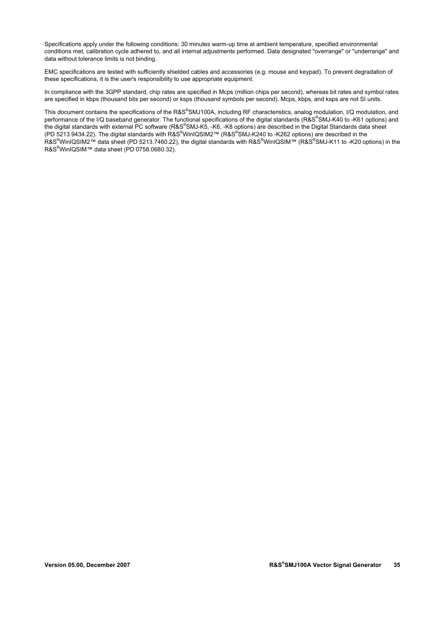Specifications apply under the following conditions: 30 minutes warm-up time at ambient temperature, specified environmental conditions met, calibration cycle adhered to, and all internal adjustments performed. Data designated "overrange" or "underrange" and data without tolerance limits is not binding.

EMC specifications are tested with sufficiently shielded cables and accessories (e.g. mouse and keypad). To prevent degradation of these specifications, it is the user's responsibility to use appropriate equipment.

In compliance with the 3GPP standard, chip rates are specified in Mcps (million chips per second), whereas bit rates and symbol rates are specified in kbps (thousand bits per second) or ksps (thousand symbols per second). Mcps, kbps, and ksps are not SI units.

This document contains the specifications of the R&S®SMJ100A, including RF characteristics, analog modulation, I/Q modulation, and performance of the I/Q baseband generator. The functional specifications of the digital standards (R&S®SMJ-K40 to -K61 options) and the digital standards with external PC software (R&S®SMJ-K5, -K6, -K8 options) are described in the Digital Standards data sheet (PD 5213.9434.22). The digital standards with R&S®WinIQSIM2™ (R&S®SMJ-K240 to -K262 options) are described in the R&S® WinIQSIM2™ data sheet (PD 5213.7460.22), the digital standards with R&S® WinIQSIM™ (R&S® SMJ-K11 to -K20 options) in the R&S<sup>®</sup>WinIQSIM™ data sheet (PD 0758.0680.32).